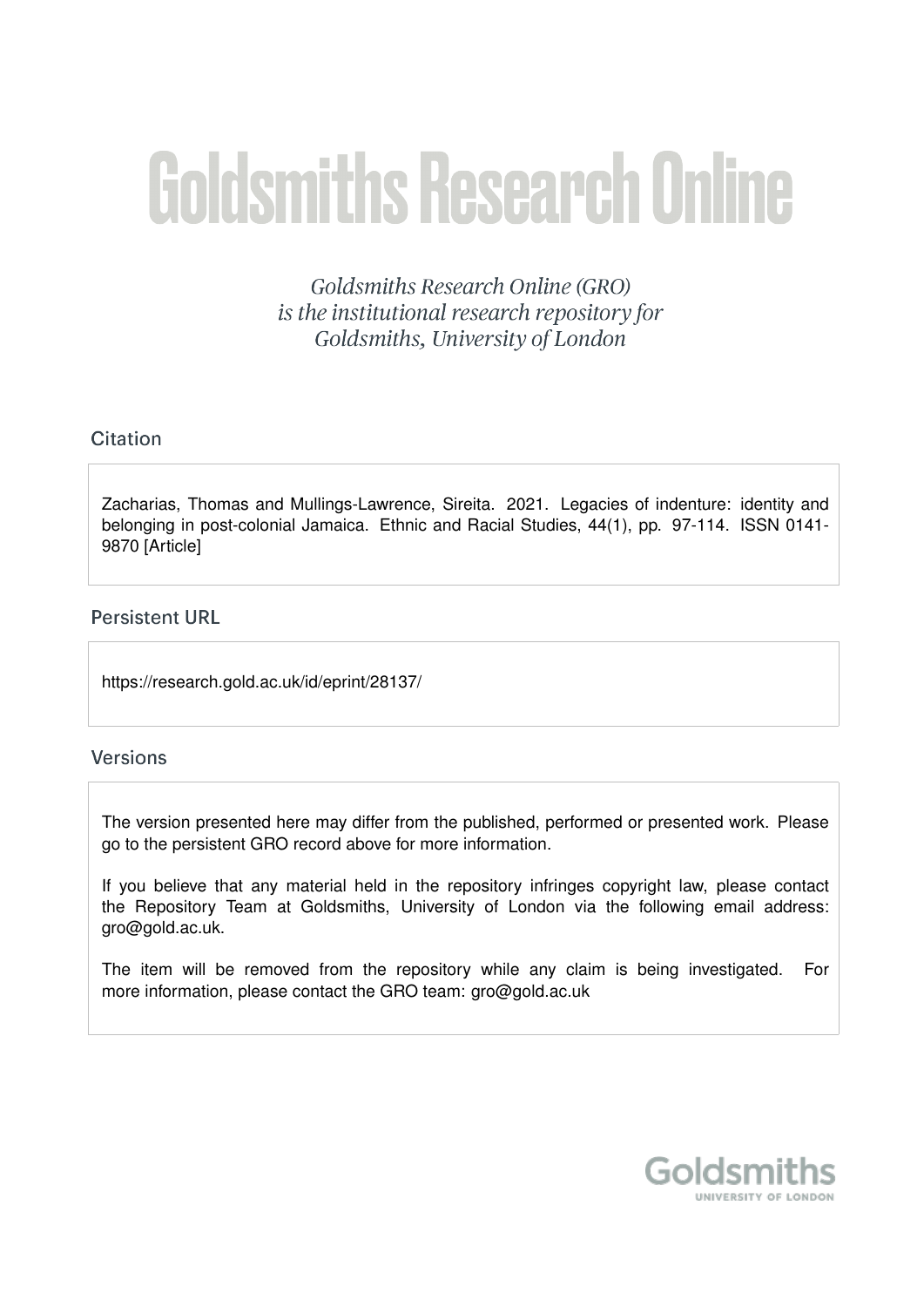# **Goldsmiths Research Online**

Goldsmiths Research Online (GRO) is the institutional research repository for Goldsmiths, University of London

# Citation

Zacharias, Thomas and Mullings-Lawrence, Sireita. 2021. Legacies of indenture: identity and belonging in post-colonial Jamaica. Ethnic and Racial Studies, 44(1), pp. 97-114. ISSN 0141- 9870 [Article]

# **Persistent URL**

https://research.gold.ac.uk/id/eprint/28137/

# **Versions**

The version presented here may differ from the published, performed or presented work. Please go to the persistent GRO record above for more information.

If you believe that any material held in the repository infringes copyright law, please contact the Repository Team at Goldsmiths, University of London via the following email address: gro@gold.ac.uk.

The item will be removed from the repository while any claim is being investigated. For more information, please contact the GRO team: gro@gold.ac.uk

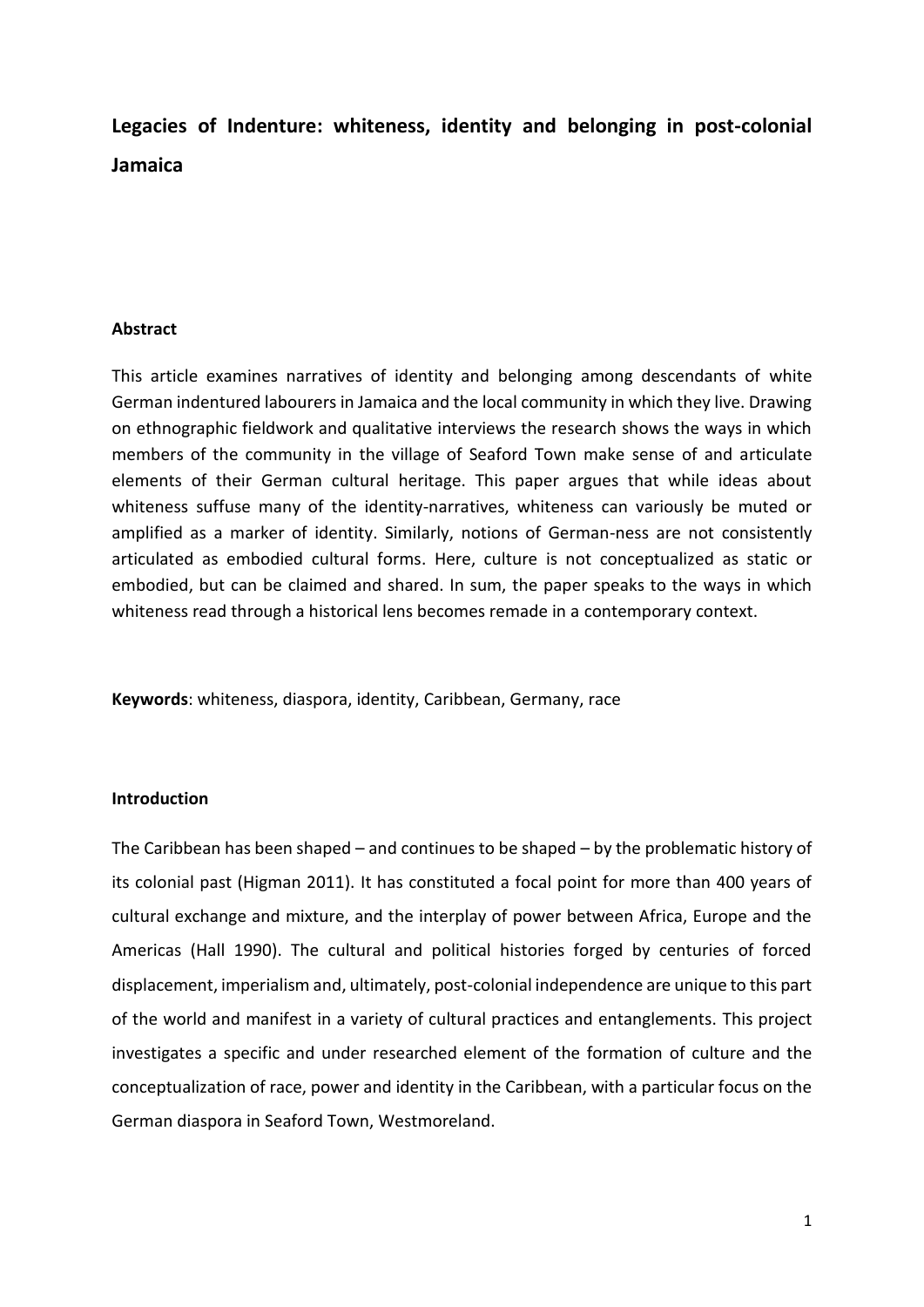**Legacies of Indenture: whiteness, identity and belonging in post-colonial Jamaica**

## **Abstract**

This article examines narratives of identity and belonging among descendants of white German indentured labourers in Jamaica and the local community in which they live. Drawing on ethnographic fieldwork and qualitative interviews the research shows the ways in which members of the community in the village of Seaford Town make sense of and articulate elements of their German cultural heritage. This paper argues that while ideas about whiteness suffuse many of the identity-narratives, whiteness can variously be muted or amplified as a marker of identity. Similarly, notions of German-ness are not consistently articulated as embodied cultural forms. Here, culture is not conceptualized as static or embodied, but can be claimed and shared. In sum, the paper speaks to the ways in which whiteness read through a historical lens becomes remade in a contemporary context.

**Keywords**: whiteness, diaspora, identity, Caribbean, Germany, race

# **Introduction**

The Caribbean has been shaped – and continues to be shaped – by the problematic history of its colonial past (Higman 2011). It has constituted a focal point for more than 400 years of cultural exchange and mixture, and the interplay of power between Africa, Europe and the Americas (Hall 1990). The cultural and political histories forged by centuries of forced displacement, imperialism and, ultimately, post-colonial independence are unique to this part of the world and manifest in a variety of cultural practices and entanglements. This project investigates a specific and under researched element of the formation of culture and the conceptualization of race, power and identity in the Caribbean, with a particular focus on the German diaspora in Seaford Town, Westmoreland.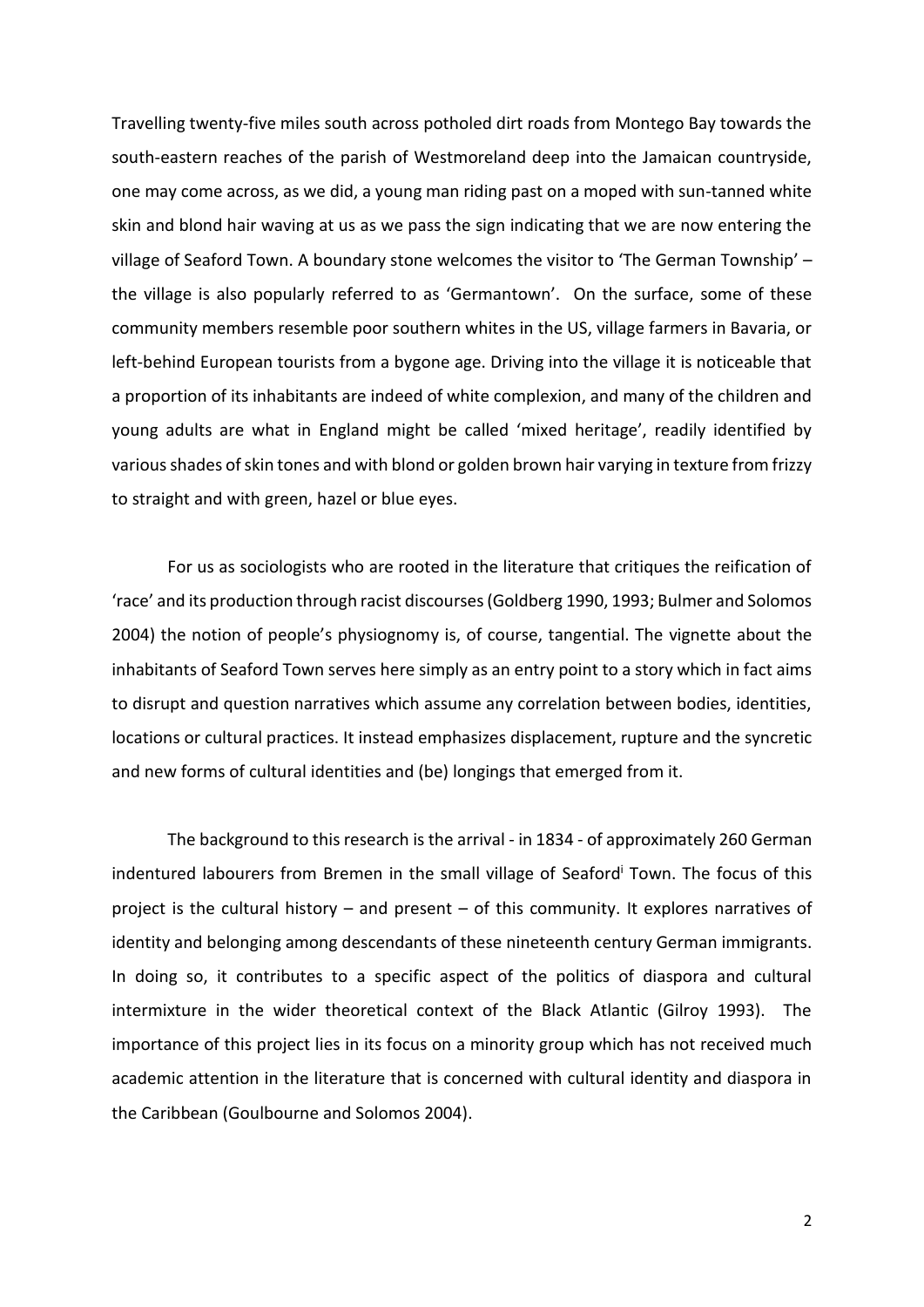Travelling twenty-five miles south across potholed dirt roads from Montego Bay towards the south-eastern reaches of the parish of Westmoreland deep into the Jamaican countryside, one may come across, as we did, a young man riding past on a moped with sun-tanned white skin and blond hair waving at us as we pass the sign indicating that we are now entering the village of Seaford Town. A boundary stone welcomes the visitor to 'The German Township' – the village is also popularly referred to as 'Germantown'. On the surface, some of these community members resemble poor southern whites in the US, village farmers in Bavaria, or left-behind European tourists from a bygone age. Driving into the village it is noticeable that a proportion of its inhabitants are indeed of white complexion, and many of the children and young adults are what in England might be called 'mixed heritage', readily identified by various shades of skin tones and with blond or golden brown hair varying in texture from frizzy to straight and with green, hazel or blue eyes.

For us as sociologists who are rooted in the literature that critiques the reification of 'race' and its production through racist discourses (Goldberg 1990, 1993; Bulmer and Solomos 2004) the notion of people's physiognomy is, of course, tangential. The vignette about the inhabitants of Seaford Town serves here simply as an entry point to a story which in fact aims to disrupt and question narratives which assume any correlation between bodies, identities, locations or cultural practices. It instead emphasizes displacement, rupture and the syncretic and new forms of cultural identities and (be) longings that emerged from it.

The background to this research is the arrival - in 1834 - of approximately 260 German indentured labourers from Bremen in the small village of Seaford<sup>i</sup> Town. The focus of this project is the cultural history – and present – of this community. It explores narratives of identity and belonging among descendants of these nineteenth century German immigrants. In doing so, it contributes to a specific aspect of the politics of diaspora and cultural intermixture in the wider theoretical context of the Black Atlantic (Gilroy 1993). The importance of this project lies in its focus on a minority group which has not received much academic attention in the literature that is concerned with cultural identity and diaspora in the Caribbean (Goulbourne and Solomos 2004).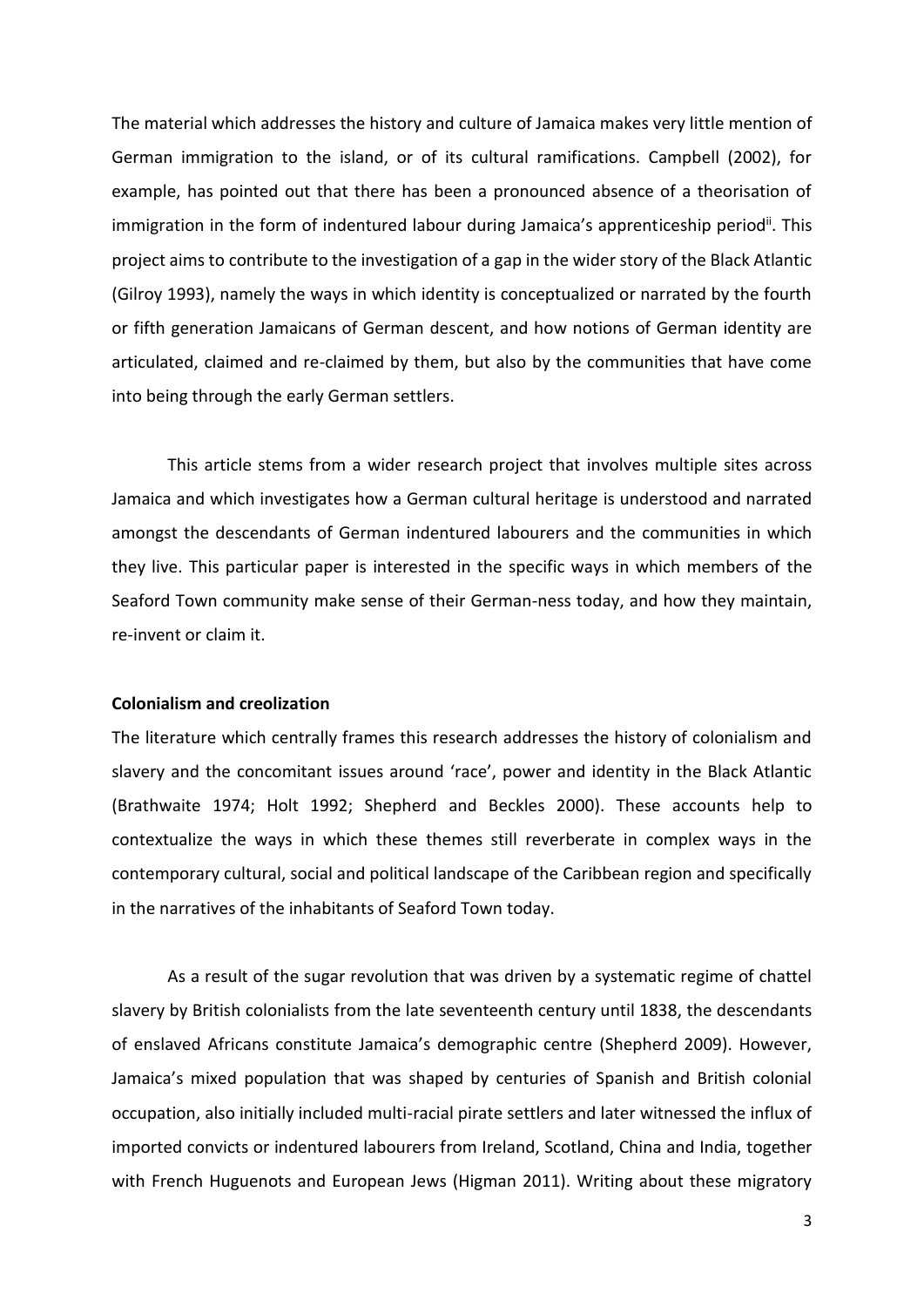The material which addresses the history and culture of Jamaica makes very little mention of German immigration to the island, or of its cultural ramifications. Campbell (2002), for example, has pointed out that there has been a pronounced absence of a theorisation of immigration in the form of indentured labour during Jamaica's apprenticeship period<sup>ii</sup>. This project aims to contribute to the investigation of a gap in the wider story of the Black Atlantic (Gilroy 1993), namely the ways in which identity is conceptualized or narrated by the fourth or fifth generation Jamaicans of German descent, and how notions of German identity are articulated, claimed and re-claimed by them, but also by the communities that have come into being through the early German settlers.

This article stems from a wider research project that involves multiple sites across Jamaica and which investigates how a German cultural heritage is understood and narrated amongst the descendants of German indentured labourers and the communities in which they live. This particular paper is interested in the specific ways in which members of the Seaford Town community make sense of their German-ness today, and how they maintain, re-invent or claim it.

# **Colonialism and creolization**

The literature which centrally frames this research addresses the history of colonialism and slavery and the concomitant issues around 'race', power and identity in the Black Atlantic (Brathwaite 1974; Holt 1992; Shepherd and Beckles 2000). These accounts help to contextualize the ways in which these themes still reverberate in complex ways in the contemporary cultural, social and political landscape of the Caribbean region and specifically in the narratives of the inhabitants of Seaford Town today.

As a result of the sugar revolution that was driven by a systematic regime of chattel slavery by British colonialists from the late seventeenth century until 1838, the descendants of enslaved Africans constitute Jamaica's demographic centre (Shepherd 2009). However, Jamaica's mixed population that was shaped by centuries of Spanish and British colonial occupation, also initially included multi-racial pirate settlers and later witnessed the influx of imported convicts or indentured labourers from Ireland, Scotland, China and India, together with French Huguenots and European Jews (Higman 2011). Writing about these migratory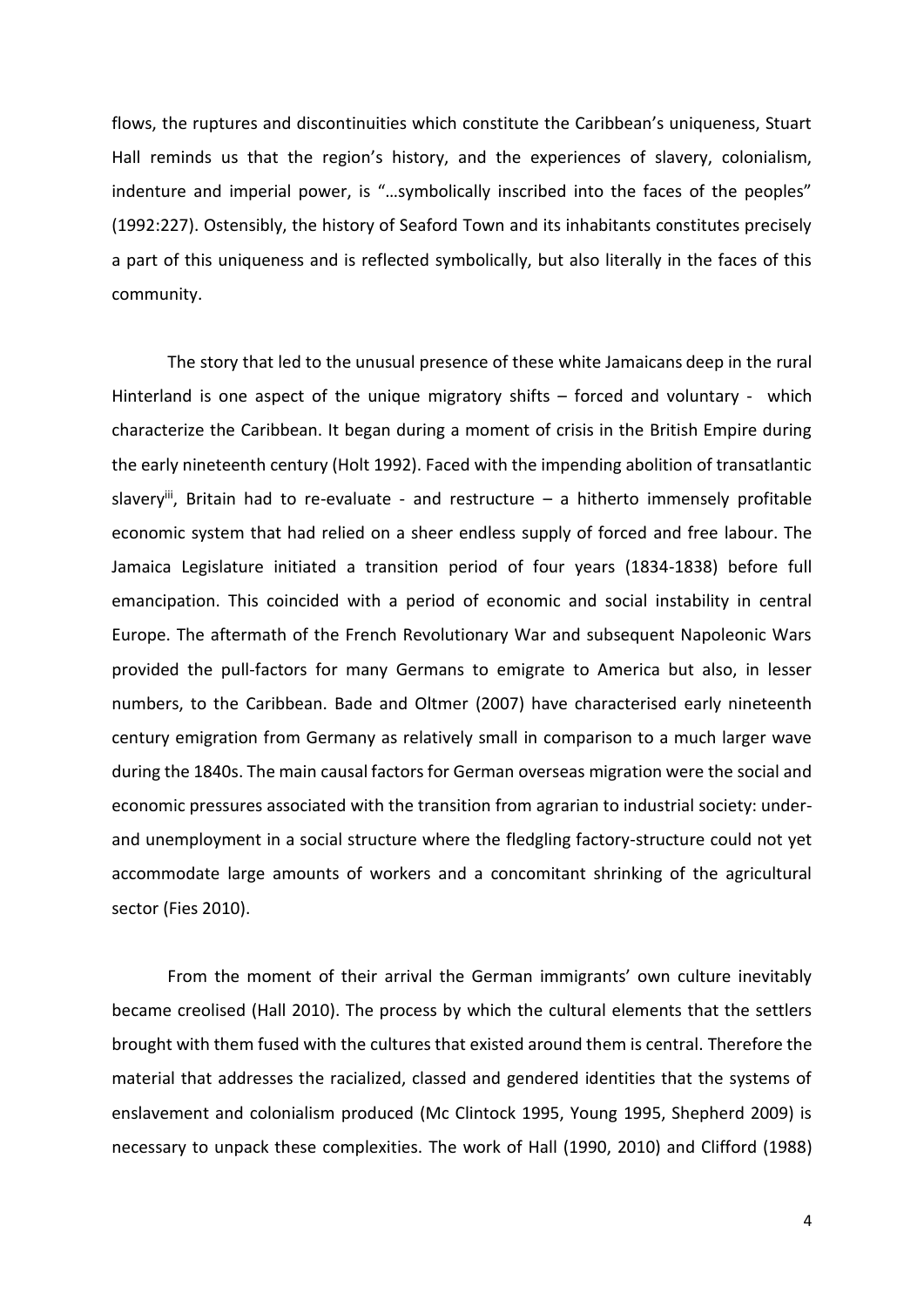flows, the ruptures and discontinuities which constitute the Caribbean's uniqueness, Stuart Hall reminds us that the region's history, and the experiences of slavery, colonialism, indenture and imperial power, is "...symbolically inscribed into the faces of the peoples" (1992:227). Ostensibly, the history of Seaford Town and its inhabitants constitutes precisely a part of this uniqueness and is reflected symbolically, but also literally in the faces of this community.

The story that led to the unusual presence of these white Jamaicans deep in the rural Hinterland is one aspect of the unique migratory shifts – forced and voluntary - which characterize the Caribbean. It began during a moment of crisis in the British Empire during the early nineteenth century (Holt 1992). Faced with the impending abolition of transatlantic slavery<sup>iii</sup>, Britain had to re-evaluate - and restructure  $-$  a hitherto immensely profitable economic system that had relied on a sheer endless supply of forced and free labour. The Jamaica Legislature initiated a transition period of four years (1834-1838) before full emancipation. This coincided with a period of economic and social instability in central Europe. The aftermath of the French Revolutionary War and subsequent Napoleonic Wars provided the pull-factors for many Germans to emigrate to America but also, in lesser numbers, to the Caribbean. Bade and Oltmer (2007) have characterised early nineteenth century emigration from Germany as relatively small in comparison to a much larger wave during the 1840s. The main causal factors for German overseas migration were the social and economic pressures associated with the transition from agrarian to industrial society: underand unemployment in a social structure where the fledgling factory-structure could not yet accommodate large amounts of workers and a concomitant shrinking of the agricultural sector (Fies 2010).

From the moment of their arrival the German immigrants' own culture inevitably became creolised (Hall 2010). The process by which the cultural elements that the settlers brought with them fused with the cultures that existed around them is central. Therefore the material that addresses the racialized, classed and gendered identities that the systems of enslavement and colonialism produced (Mc Clintock 1995, Young 1995, Shepherd 2009) is necessary to unpack these complexities. The work of Hall (1990, 2010) and Clifford (1988)

4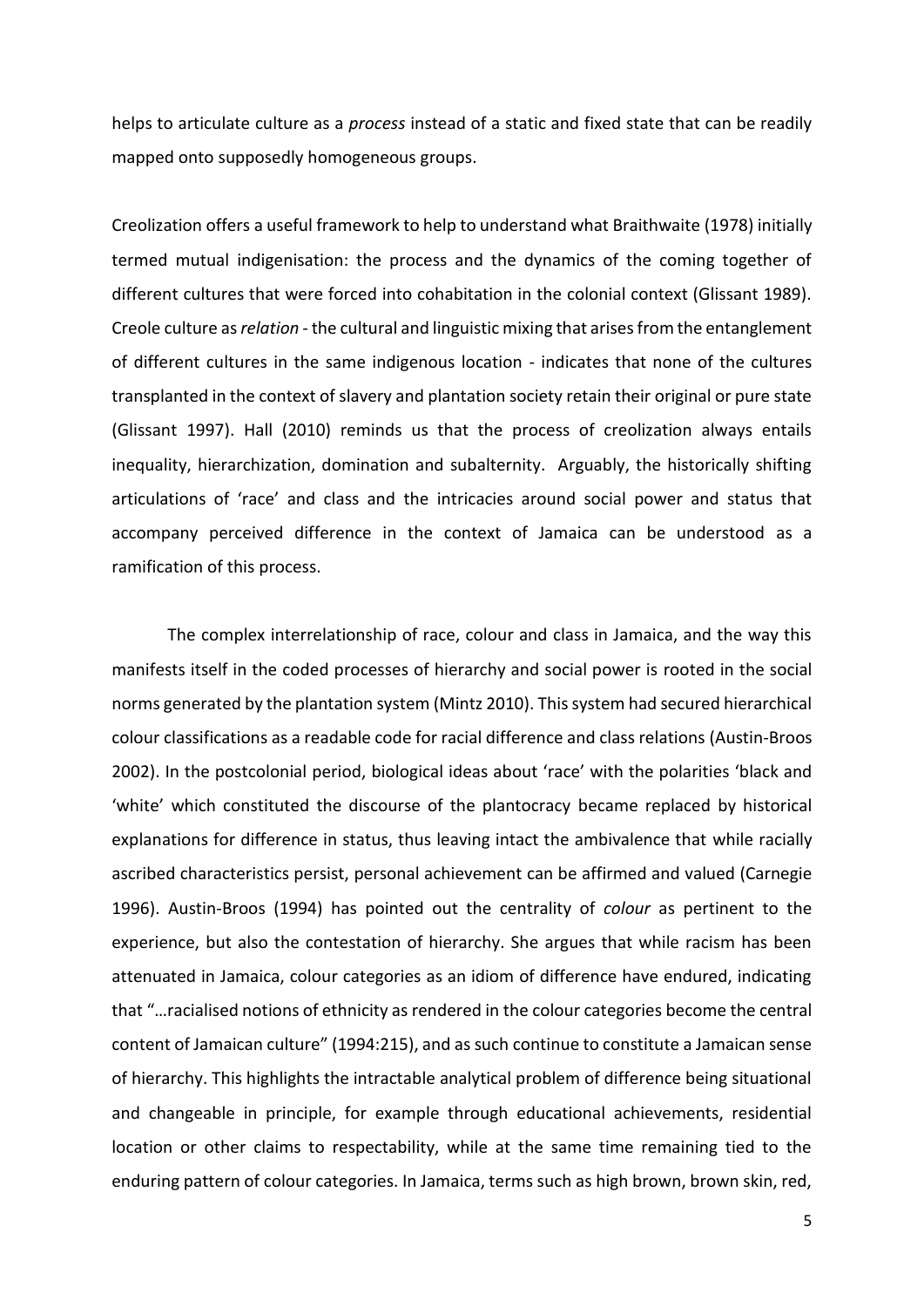helps to articulate culture as a *process* instead of a static and fixed state that can be readily mapped onto supposedly homogeneous groups.

Creolization offers a useful framework to help to understand what Braithwaite (1978) initially termed mutual indigenisation: the process and the dynamics of the coming together of different cultures that were forced into cohabitation in the colonial context (Glissant 1989). Creole culture as *relation* - the cultural and linguistic mixing that arises from the entanglement of different cultures in the same indigenous location - indicates that none of the cultures transplanted in the context of slavery and plantation society retain their original or pure state (Glissant 1997). Hall (2010) reminds us that the process of creolization always entails inequality, hierarchization, domination and subalternity. Arguably, the historically shifting articulations of 'race' and class and the intricacies around social power and status that accompany perceived difference in the context of Jamaica can be understood as a ramification of this process.

The complex interrelationship of race, colour and class in Jamaica, and the way this manifests itself in the coded processes of hierarchy and social power is rooted in the social norms generated by the plantation system (Mintz 2010). This system had secured hierarchical colour classifications as a readable code for racial difference and class relations (Austin-Broos 2002). In the postcolonial period, biological ideas about 'race' with the polarities 'black and 'white' which constituted the discourse of the plantocracy became replaced by historical explanations for difference in status, thus leaving intact the ambivalence that while racially ascribed characteristics persist, personal achievement can be affirmed and valued (Carnegie 1996). Austin-Broos (1994) has pointed out the centrality of *colour* as pertinent to the experience, but also the contestation of hierarchy. She argues that while racism has been attenuated in Jamaica, colour categories as an idiom of difference have endured, indicating that "…racialised notions of ethnicity as rendered in the colour categories become the central content of Jamaican culture" (1994:215), and as such continue to constitute a Jamaican sense of hierarchy. This highlights the intractable analytical problem of difference being situational and changeable in principle, for example through educational achievements, residential location or other claims to respectability, while at the same time remaining tied to the enduring pattern of colour categories. In Jamaica, terms such as high brown, brown skin, red,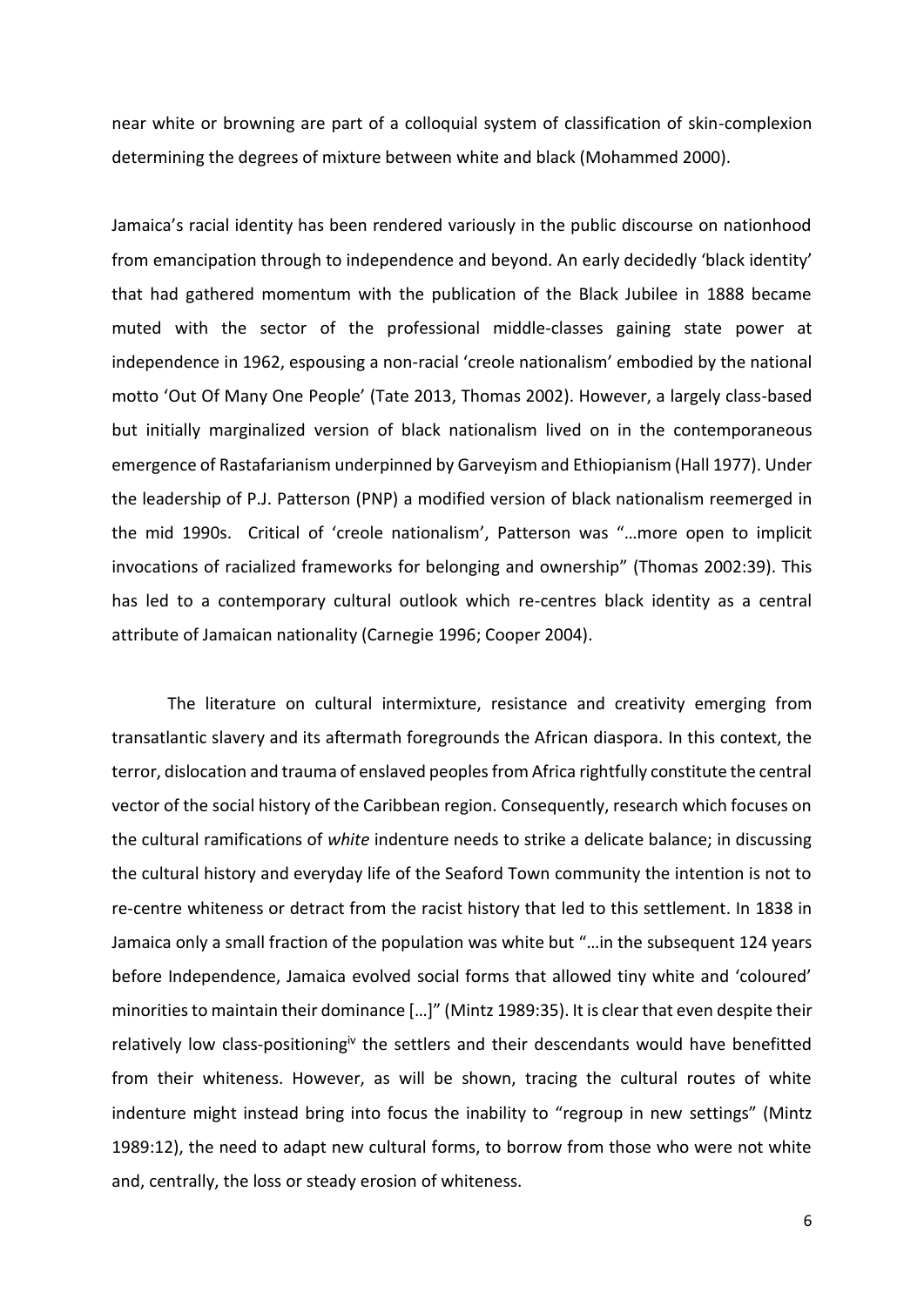near white or browning are part of a colloquial system of classification of skin-complexion determining the degrees of mixture between white and black (Mohammed 2000).

Jamaica's racial identity has been rendered variously in the public discourse on nationhood from emancipation through to independence and beyond. An early decidedly 'black identity' that had gathered momentum with the publication of the Black Jubilee in 1888 became muted with the sector of the professional middle-classes gaining state power at independence in 1962, espousing a non-racial 'creole nationalism' embodied by the national motto 'Out Of Many One People' (Tate 2013, Thomas 2002). However, a largely class-based but initially marginalized version of black nationalism lived on in the contemporaneous emergence of Rastafarianism underpinned by Garveyism and Ethiopianism (Hall 1977). Under the leadership of P.J. Patterson (PNP) a modified version of black nationalism reemerged in the mid 1990s. Critical of 'creole nationalism', Patterson was "…more open to implicit invocations of racialized frameworks for belonging and ownership" (Thomas 2002:39). This has led to a contemporary cultural outlook which re-centres black identity as a central attribute of Jamaican nationality (Carnegie 1996; Cooper 2004).

The literature on cultural intermixture, resistance and creativity emerging from transatlantic slavery and its aftermath foregrounds the African diaspora. In this context, the terror, dislocation and trauma of enslaved peoples from Africa rightfully constitute the central vector of the social history of the Caribbean region. Consequently, research which focuses on the cultural ramifications of *white* indenture needs to strike a delicate balance; in discussing the cultural history and everyday life of the Seaford Town community the intention is not to re-centre whiteness or detract from the racist history that led to this settlement. In 1838 in Jamaica only a small fraction of the population was white but "…in the subsequent 124 years before Independence, Jamaica evolved social forms that allowed tiny white and 'coloured' minorities to maintain their dominance […]" (Mintz 1989:35). It is clear that even despite their relatively low class-positioning<sup>iv</sup> the settlers and their descendants would have benefitted from their whiteness. However, as will be shown, tracing the cultural routes of white indenture might instead bring into focus the inability to "regroup in new settings" (Mintz 1989:12), the need to adapt new cultural forms, to borrow from those who were not white and, centrally, the loss or steady erosion of whiteness.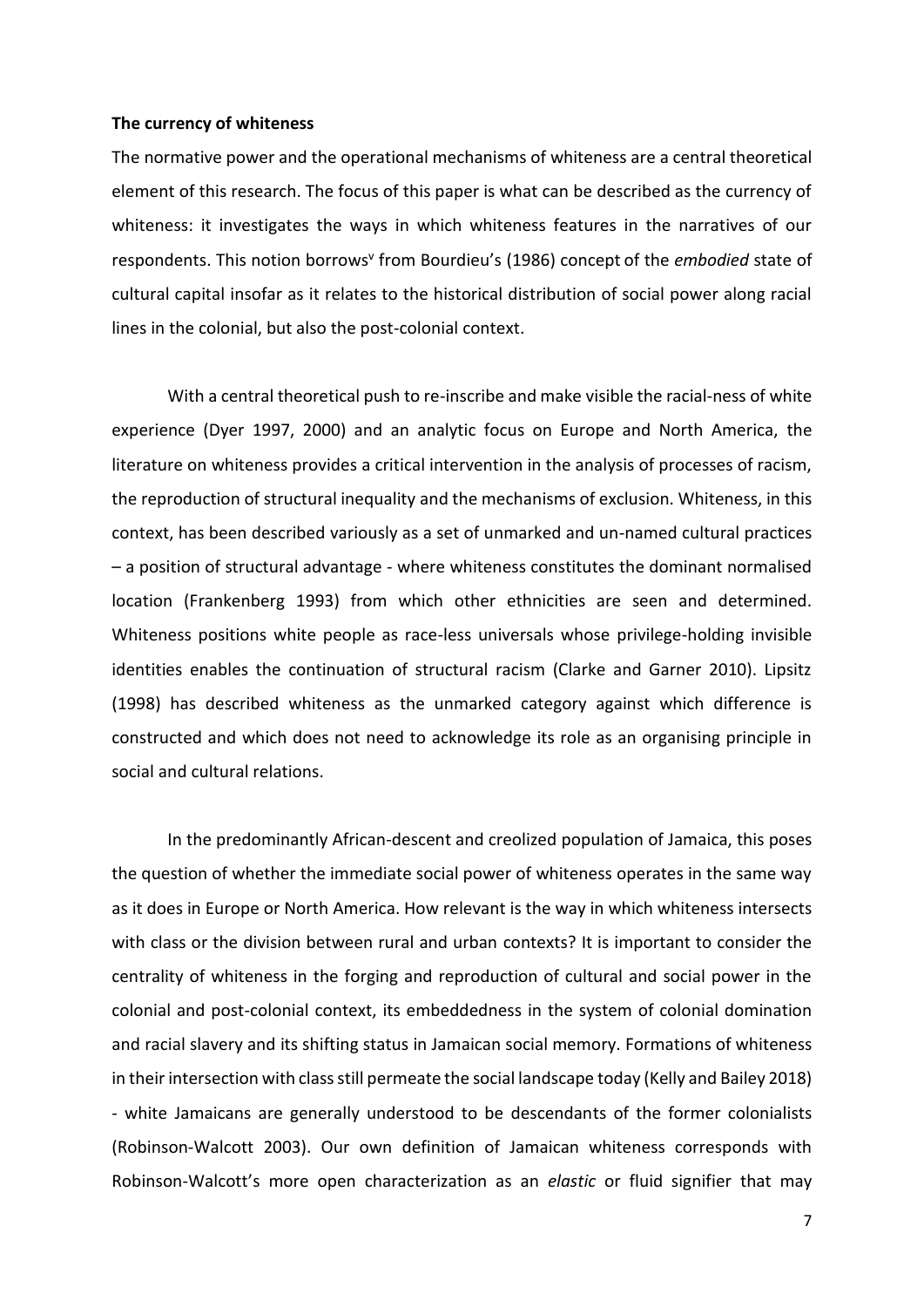#### **The currency of whiteness**

The normative power and the operational mechanisms of whiteness are a central theoretical element of this research. The focus of this paper is what can be described as the currency of whiteness: it investigates the ways in which whiteness features in the narratives of our respondents. This notion borrows<sup>v</sup> from Bourdieu's (1986) concept of the *embodied* state of cultural capital insofar as it relates to the historical distribution of social power along racial lines in the colonial, but also the post-colonial context.

With a central theoretical push to re-inscribe and make visible the racial-ness of white experience (Dyer 1997, 2000) and an analytic focus on Europe and North America, the literature on whiteness provides a critical intervention in the analysis of processes of racism, the reproduction of structural inequality and the mechanisms of exclusion. Whiteness, in this context, has been described variously as a set of unmarked and un-named cultural practices – a position of structural advantage - where whiteness constitutes the dominant normalised location (Frankenberg 1993) from which other ethnicities are seen and determined. Whiteness positions white people as race-less universals whose privilege-holding invisible identities enables the continuation of structural racism (Clarke and Garner 2010). Lipsitz (1998) has described whiteness as the unmarked category against which difference is constructed and which does not need to acknowledge its role as an organising principle in social and cultural relations.

In the predominantly African-descent and creolized population of Jamaica, this poses the question of whether the immediate social power of whiteness operates in the same way as it does in Europe or North America. How relevant is the way in which whiteness intersects with class or the division between rural and urban contexts? It is important to consider the centrality of whiteness in the forging and reproduction of cultural and social power in the colonial and post-colonial context, its embeddedness in the system of colonial domination and racial slavery and its shifting status in Jamaican social memory. Formations of whiteness in their intersection with classstill permeate the social landscape today (Kelly and Bailey 2018) - white Jamaicans are generally understood to be descendants of the former colonialists (Robinson-Walcott 2003). Our own definition of Jamaican whiteness corresponds with Robinson-Walcott's more open characterization as an *elastic* or fluid signifier that may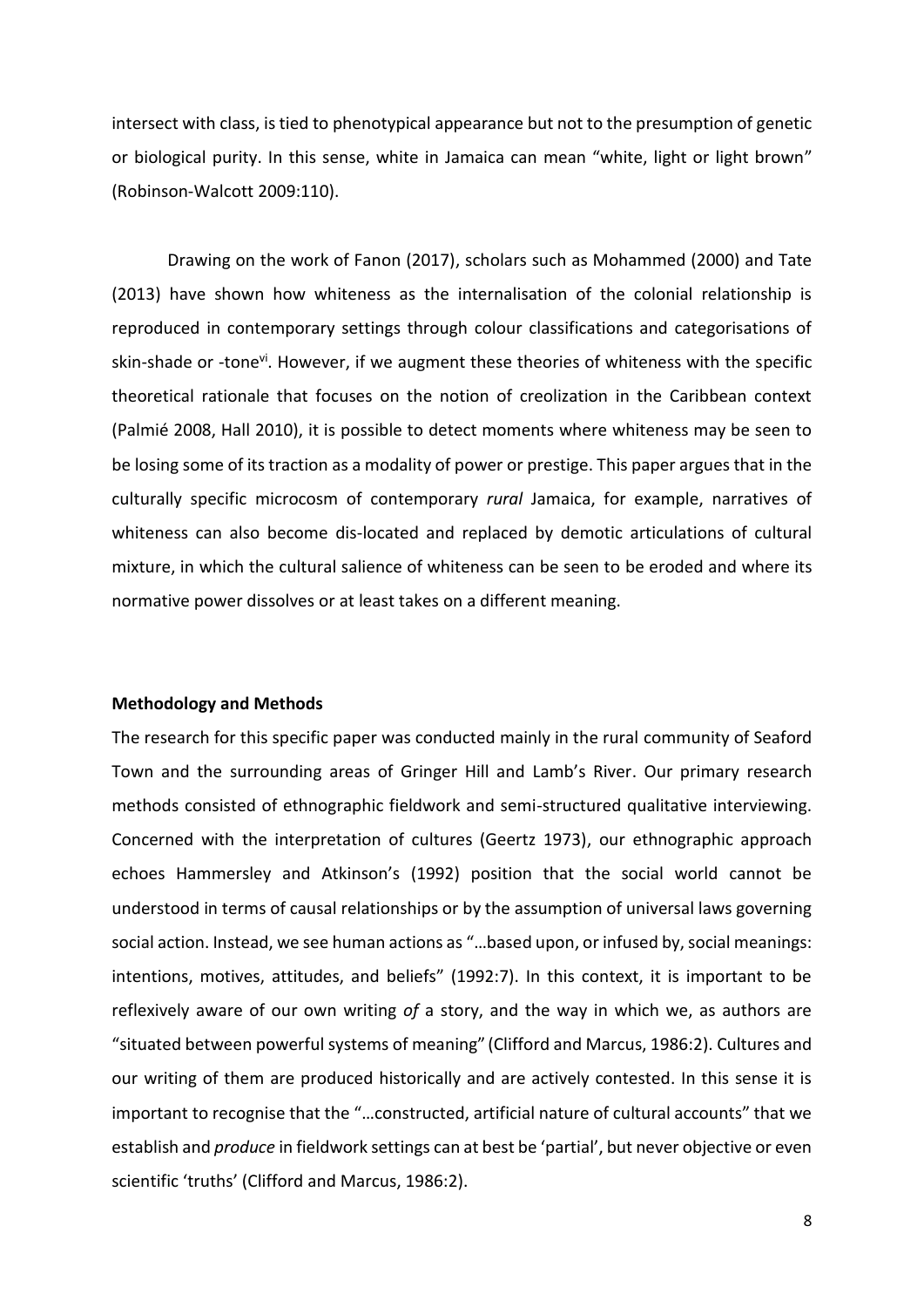intersect with class, is tied to phenotypical appearance but not to the presumption of genetic or biological purity. In this sense, white in Jamaica can mean "white, light or light brown" (Robinson-Walcott 2009:110).

Drawing on the work of Fanon (2017), scholars such as Mohammed (2000) and Tate (2013) have shown how whiteness as the internalisation of the colonial relationship is reproduced in contemporary settings through colour classifications and categorisations of skin-shade or -tone<sup>vi</sup>. However, if we augment these theories of whiteness with the specific theoretical rationale that focuses on the notion of creolization in the Caribbean context (Palmié 2008, Hall 2010), it is possible to detect moments where whiteness may be seen to be losing some of its traction as a modality of power or prestige. This paper argues that in the culturally specific microcosm of contemporary *rural* Jamaica, for example, narratives of whiteness can also become dis-located and replaced by demotic articulations of cultural mixture, in which the cultural salience of whiteness can be seen to be eroded and where its normative power dissolves or at least takes on a different meaning.

### **Methodology and Methods**

The research for this specific paper was conducted mainly in the rural community of Seaford Town and the surrounding areas of Gringer Hill and Lamb's River. Our primary research methods consisted of ethnographic fieldwork and semi-structured qualitative interviewing. Concerned with the interpretation of cultures (Geertz 1973), our ethnographic approach echoes Hammersley and Atkinson's (1992) position that the social world cannot be understood in terms of causal relationships or by the assumption of universal laws governing social action. Instead, we see human actions as "…based upon, or infused by, social meanings: intentions, motives, attitudes, and beliefs" (1992:7). In this context, it is important to be reflexively aware of our own writing *of* a story, and the way in which we, as authors are "situated between powerful systems of meaning" (Clifford and Marcus, 1986:2). Cultures and our writing of them are produced historically and are actively contested. In this sense it is important to recognise that the "…constructed, artificial nature of cultural accounts" that we establish and *produce* in fieldwork settings can at best be 'partial', but never objective or even scientific 'truths' (Clifford and Marcus, 1986:2).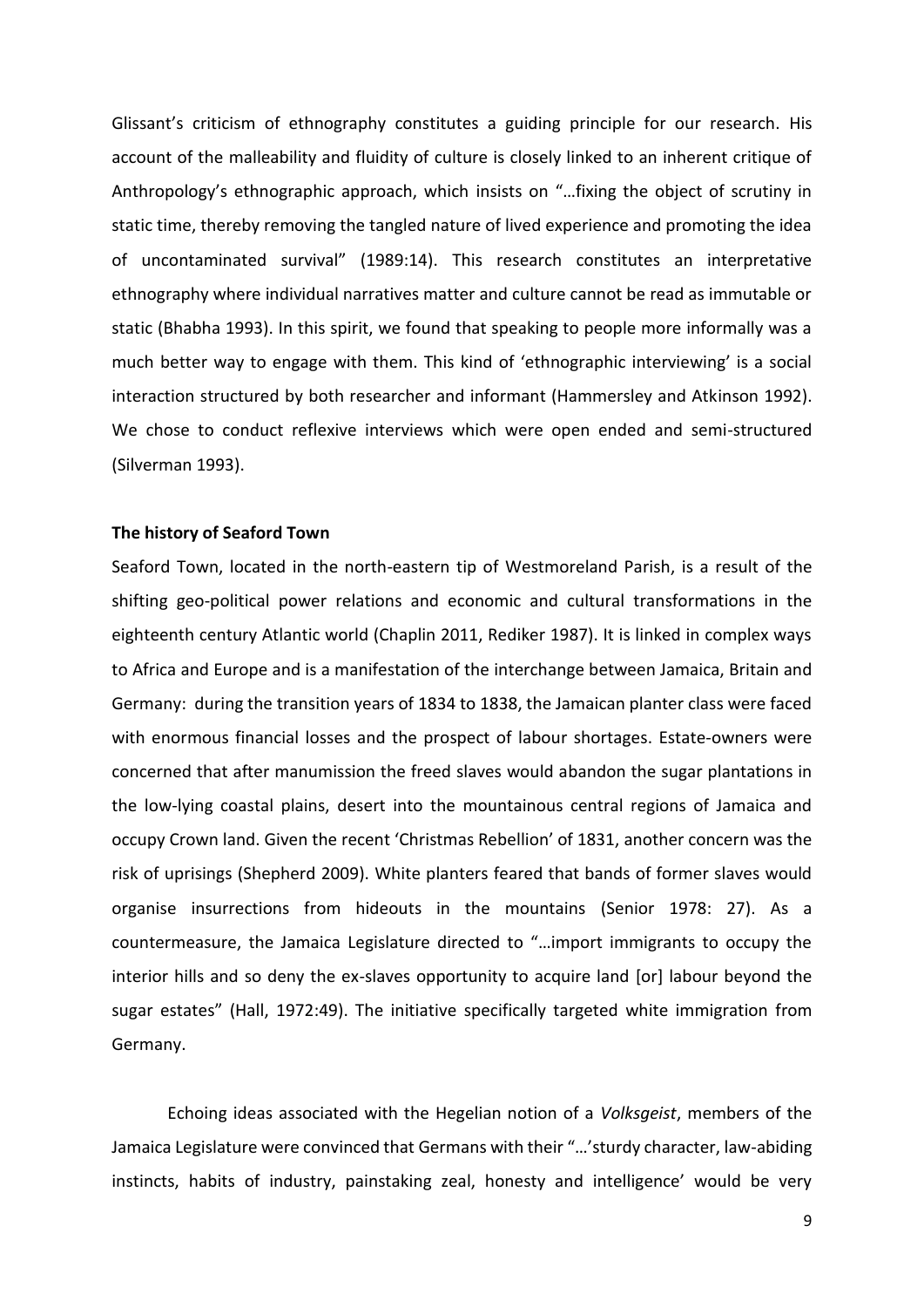Glissant's criticism of ethnography constitutes a guiding principle for our research. His account of the malleability and fluidity of culture is closely linked to an inherent critique of Anthropology's ethnographic approach, which insists on "…fixing the object of scrutiny in static time, thereby removing the tangled nature of lived experience and promoting the idea of uncontaminated survival" (1989:14). This research constitutes an interpretative ethnography where individual narratives matter and culture cannot be read as immutable or static (Bhabha 1993). In this spirit, we found that speaking to people more informally was a much better way to engage with them. This kind of 'ethnographic interviewing' is a social interaction structured by both researcher and informant (Hammersley and Atkinson 1992). We chose to conduct reflexive interviews which were open ended and semi-structured (Silverman 1993).

#### **The history of Seaford Town**

Seaford Town, located in the north-eastern tip of Westmoreland Parish, is a result of the shifting geo-political power relations and economic and cultural transformations in the eighteenth century Atlantic world (Chaplin 2011, Rediker 1987). It is linked in complex ways to Africa and Europe and is a manifestation of the interchange between Jamaica, Britain and Germany: during the transition years of 1834 to 1838, the Jamaican planter class were faced with enormous financial losses and the prospect of labour shortages. Estate-owners were concerned that after manumission the freed slaves would abandon the sugar plantations in the low-lying coastal plains, desert into the mountainous central regions of Jamaica and occupy Crown land. Given the recent 'Christmas Rebellion' of 1831, another concern was the risk of uprisings (Shepherd 2009). White planters feared that bands of former slaves would organise insurrections from hideouts in the mountains (Senior 1978: 27). As a countermeasure, the Jamaica Legislature directed to "…import immigrants to occupy the interior hills and so deny the ex-slaves opportunity to acquire land [or] labour beyond the sugar estates" (Hall, 1972:49). The initiative specifically targeted white immigration from Germany.

Echoing ideas associated with the Hegelian notion of a *Volksgeist*, members of the Jamaica Legislature were convinced that Germans with their "…'sturdy character, law-abiding instincts, habits of industry, painstaking zeal, honesty and intelligence' would be very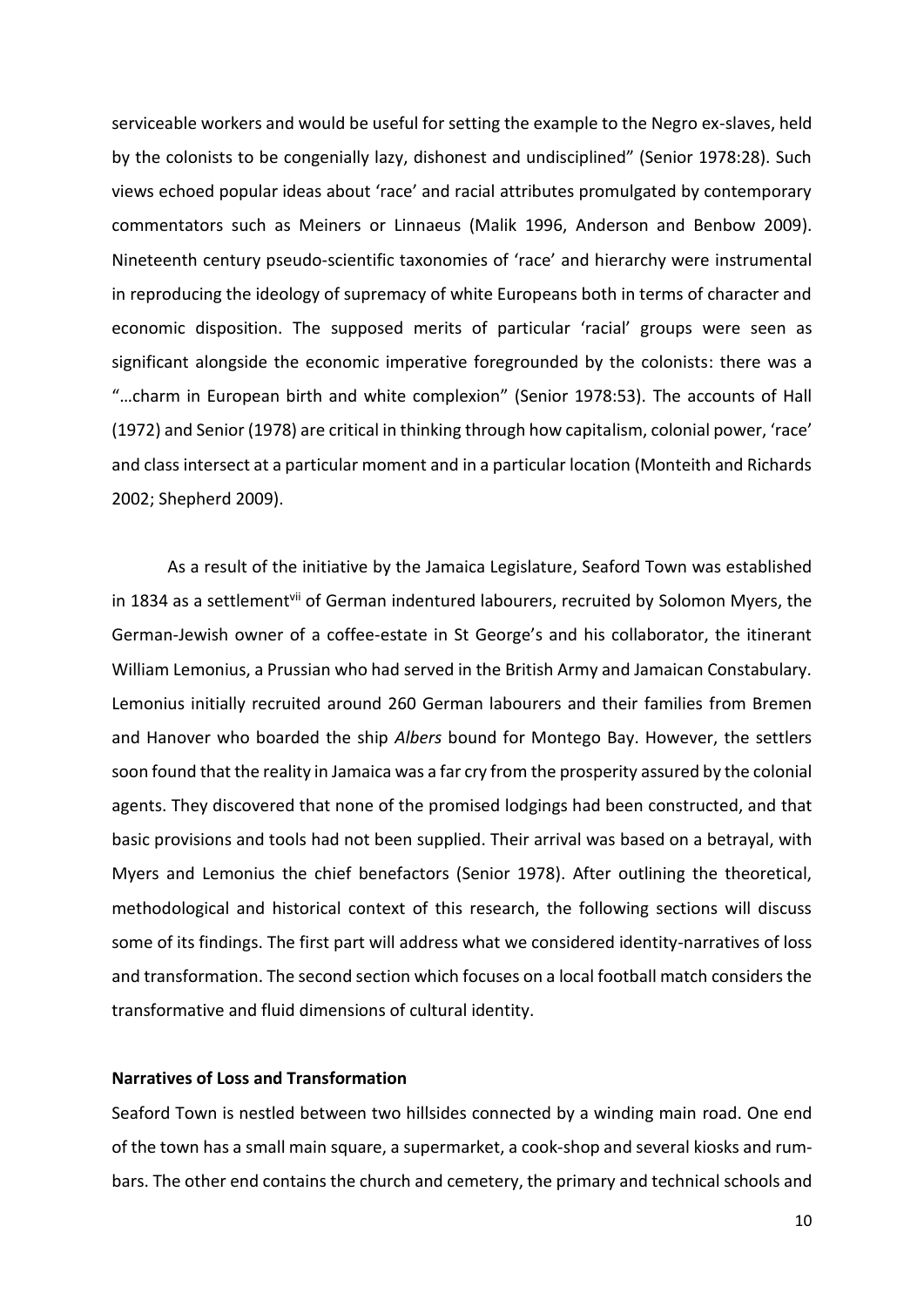serviceable workers and would be useful for setting the example to the Negro ex-slaves, held by the colonists to be congenially lazy, dishonest and undisciplined" (Senior 1978:28). Such views echoed popular ideas about 'race' and racial attributes promulgated by contemporary commentators such as Meiners or Linnaeus (Malik 1996, Anderson and Benbow 2009). Nineteenth century pseudo-scientific taxonomies of 'race' and hierarchy were instrumental in reproducing the ideology of supremacy of white Europeans both in terms of character and economic disposition. The supposed merits of particular 'racial' groups were seen as significant alongside the economic imperative foregrounded by the colonists: there was a "…charm in European birth and white complexion" (Senior 1978:53). The accounts of Hall (1972) and Senior (1978) are critical in thinking through how capitalism, colonial power, 'race' and class intersect at a particular moment and in a particular location (Monteith and Richards 2002; Shepherd 2009).

As a result of the initiative by the Jamaica Legislature, Seaford Town was established in 1834 as a settlement<sup>vii</sup> of German indentured labourers, recruited by Solomon Myers, the German-Jewish owner of a coffee-estate in St George's and his collaborator, the itinerant William Lemonius, a Prussian who had served in the British Army and Jamaican Constabulary. Lemonius initially recruited around 260 German labourers and their families from Bremen and Hanover who boarded the ship *Albers* bound for Montego Bay. However, the settlers soon found that the reality in Jamaica was a far cry from the prosperity assured by the colonial agents. They discovered that none of the promised lodgings had been constructed, and that basic provisions and tools had not been supplied. Their arrival was based on a betrayal, with Myers and Lemonius the chief benefactors (Senior 1978). After outlining the theoretical, methodological and historical context of this research, the following sections will discuss some of its findings. The first part will address what we considered identity-narratives of loss and transformation. The second section which focuses on a local football match considers the transformative and fluid dimensions of cultural identity.

# **Narratives of Loss and Transformation**

Seaford Town is nestled between two hillsides connected by a winding main road. One end of the town has a small main square, a supermarket, a cook-shop and several kiosks and rumbars. The other end contains the church and cemetery, the primary and technical schools and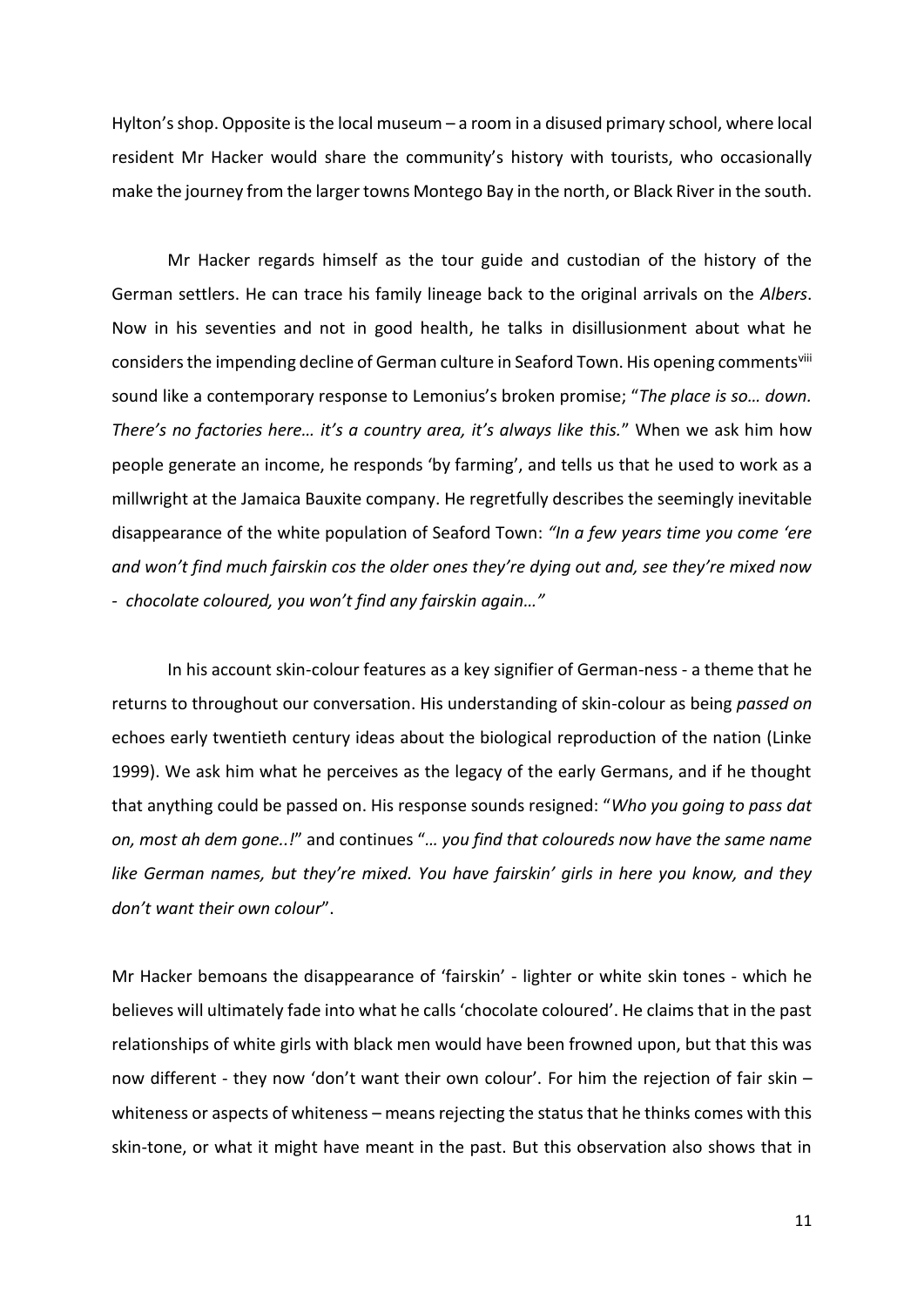Hylton's shop. Opposite is the local museum – a room in a disused primary school, where local resident Mr Hacker would share the community's history with tourists, who occasionally make the journey from the larger towns Montego Bay in the north, or Black River in the south.

Mr Hacker regards himself as the tour guide and custodian of the history of the German settlers. He can trace his family lineage back to the original arrivals on the *Albers*. Now in his seventies and not in good health, he talks in disillusionment about what he considers the impending decline of German culture in Seaford Town. His opening commentsvill sound like a contemporary response to Lemonius's broken promise; "*The place is so… down. There's no factories here… it's a country area, it's always like this.*" When we ask him how people generate an income, he responds 'by farming', and tells us that he used to work as a millwright at the Jamaica Bauxite company. He regretfully describes the seemingly inevitable disappearance of the white population of Seaford Town: *"In a few years time you come 'ere and won't find much fairskin cos the older ones they're dying out and, see they're mixed now - chocolate coloured, you won't find any fairskin again…"*

In his account skin-colour features as a key signifier of German-ness - a theme that he returns to throughout our conversation. His understanding of skin-colour as being *passed on* echoes early twentieth century ideas about the biological reproduction of the nation (Linke 1999). We ask him what he perceives as the legacy of the early Germans, and if he thought that anything could be passed on. His response sounds resigned: "*Who you going to pass dat on, most ah dem gone..!*" and continues "*… you find that coloureds now have the same name like German names, but they're mixed. You have fairskin' girls in here you know, and they don't want their own colour*".

Mr Hacker bemoans the disappearance of 'fairskin' - lighter or white skin tones - which he believes will ultimately fade into what he calls 'chocolate coloured'. He claims that in the past relationships of white girls with black men would have been frowned upon, but that this was now different - they now 'don't want their own colour'. For him the rejection of fair skin – whiteness or aspects of whiteness – means rejecting the status that he thinks comes with this skin-tone, or what it might have meant in the past. But this observation also shows that in

11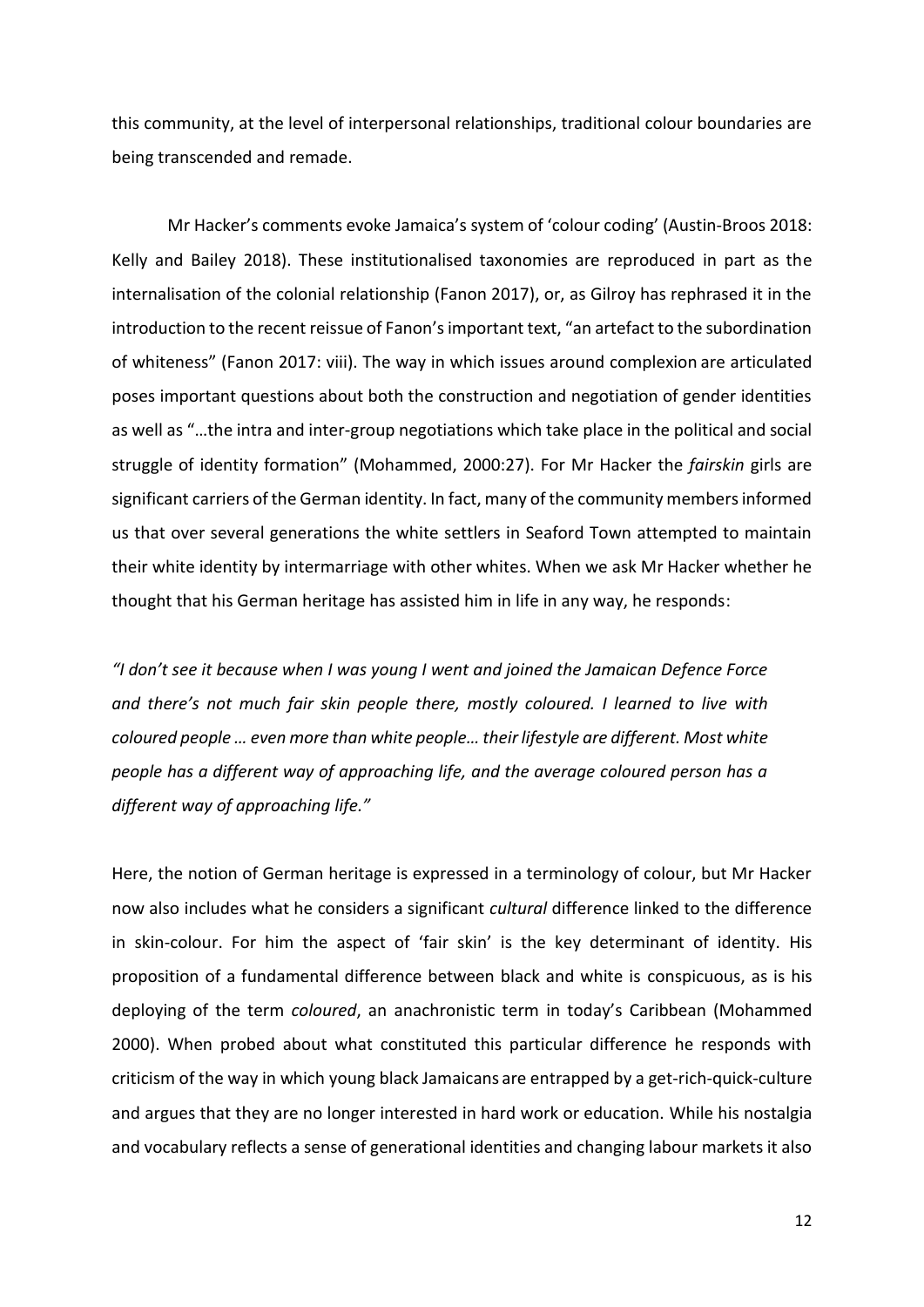this community, at the level of interpersonal relationships, traditional colour boundaries are being transcended and remade.

Mr Hacker's comments evoke Jamaica's system of 'colour coding' (Austin-Broos 2018: Kelly and Bailey 2018). These institutionalised taxonomies are reproduced in part as the internalisation of the colonial relationship (Fanon 2017), or, as Gilroy has rephrased it in the introduction to the recent reissue of Fanon's important text, "an artefact to the subordination of whiteness" (Fanon 2017: viii). The way in which issues around complexion are articulated poses important questions about both the construction and negotiation of gender identities as well as "…the intra and inter-group negotiations which take place in the political and social struggle of identity formation" (Mohammed, 2000:27). For Mr Hacker the *fairskin* girls are significant carriers of the German identity. In fact, many of the community members informed us that over several generations the white settlers in Seaford Town attempted to maintain their white identity by intermarriage with other whites. When we ask Mr Hacker whether he thought that his German heritage has assisted him in life in any way, he responds:

*"I don't see it because when I was young I went and joined the Jamaican Defence Force and there's not much fair skin people there, mostly coloured. I learned to live with coloured people … even more than white people… their lifestyle are different. Most white people has a different way of approaching life, and the average coloured person has a different way of approaching life."*

Here, the notion of German heritage is expressed in a terminology of colour, but Mr Hacker now also includes what he considers a significant *cultural* difference linked to the difference in skin-colour. For him the aspect of 'fair skin' is the key determinant of identity. His proposition of a fundamental difference between black and white is conspicuous, as is his deploying of the term *coloured*, an anachronistic term in today's Caribbean (Mohammed 2000). When probed about what constituted this particular difference he responds with criticism of the way in which young black Jamaicans are entrapped by a get-rich-quick-culture and argues that they are no longer interested in hard work or education. While his nostalgia and vocabulary reflects a sense of generational identities and changing labour markets it also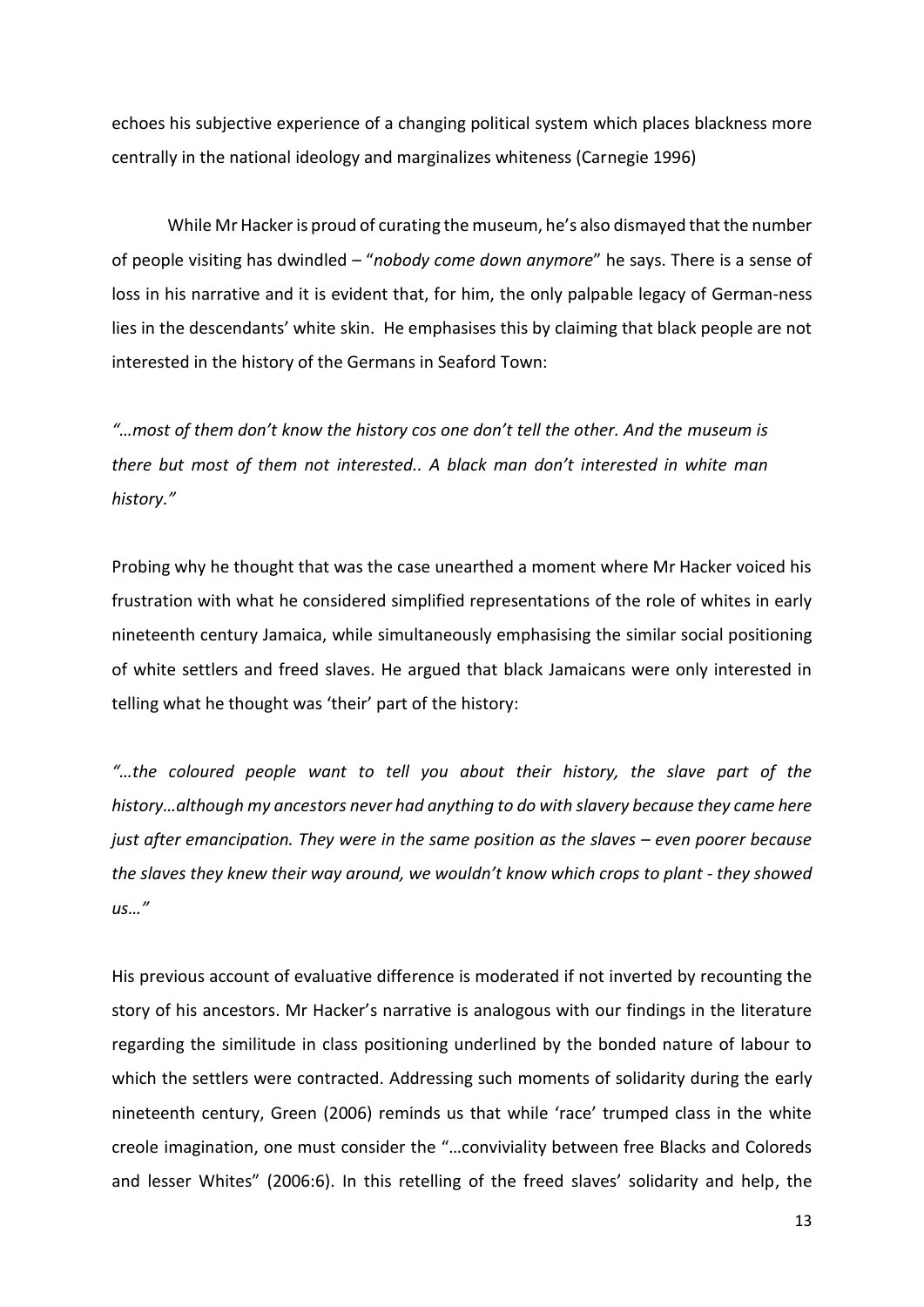echoes his subjective experience of a changing political system which places blackness more centrally in the national ideology and marginalizes whiteness (Carnegie 1996)

While Mr Hacker is proud of curating the museum, he's also dismayed that the number of people visiting has dwindled – "*nobody come down anymore*" he says. There is a sense of loss in his narrative and it is evident that, for him, the only palpable legacy of German-ness lies in the descendants' white skin. He emphasises this by claiming that black people are not interested in the history of the Germans in Seaford Town:

*"…most of them don't know the history cos one don't tell the other. And the museum is there but most of them not interested.. A black man don't interested in white man history."*

Probing why he thought that was the case unearthed a moment where Mr Hacker voiced his frustration with what he considered simplified representations of the role of whites in early nineteenth century Jamaica, while simultaneously emphasising the similar social positioning of white settlers and freed slaves. He argued that black Jamaicans were only interested in telling what he thought was 'their' part of the history:

*"…the coloured people want to tell you about their history, the slave part of the history…although my ancestors never had anything to do with slavery because they came here just after emancipation. They were in the same position as the slaves – even poorer because the slaves they knew their way around, we wouldn't know which crops to plant - they showed us…"*

His previous account of evaluative difference is moderated if not inverted by recounting the story of his ancestors. Mr Hacker's narrative is analogous with our findings in the literature regarding the similitude in class positioning underlined by the bonded nature of labour to which the settlers were contracted. Addressing such moments of solidarity during the early nineteenth century, Green (2006) reminds us that while 'race' trumped class in the white creole imagination, one must consider the "…conviviality between free Blacks and Coloreds and lesser Whites" (2006:6). In this retelling of the freed slaves' solidarity and help, the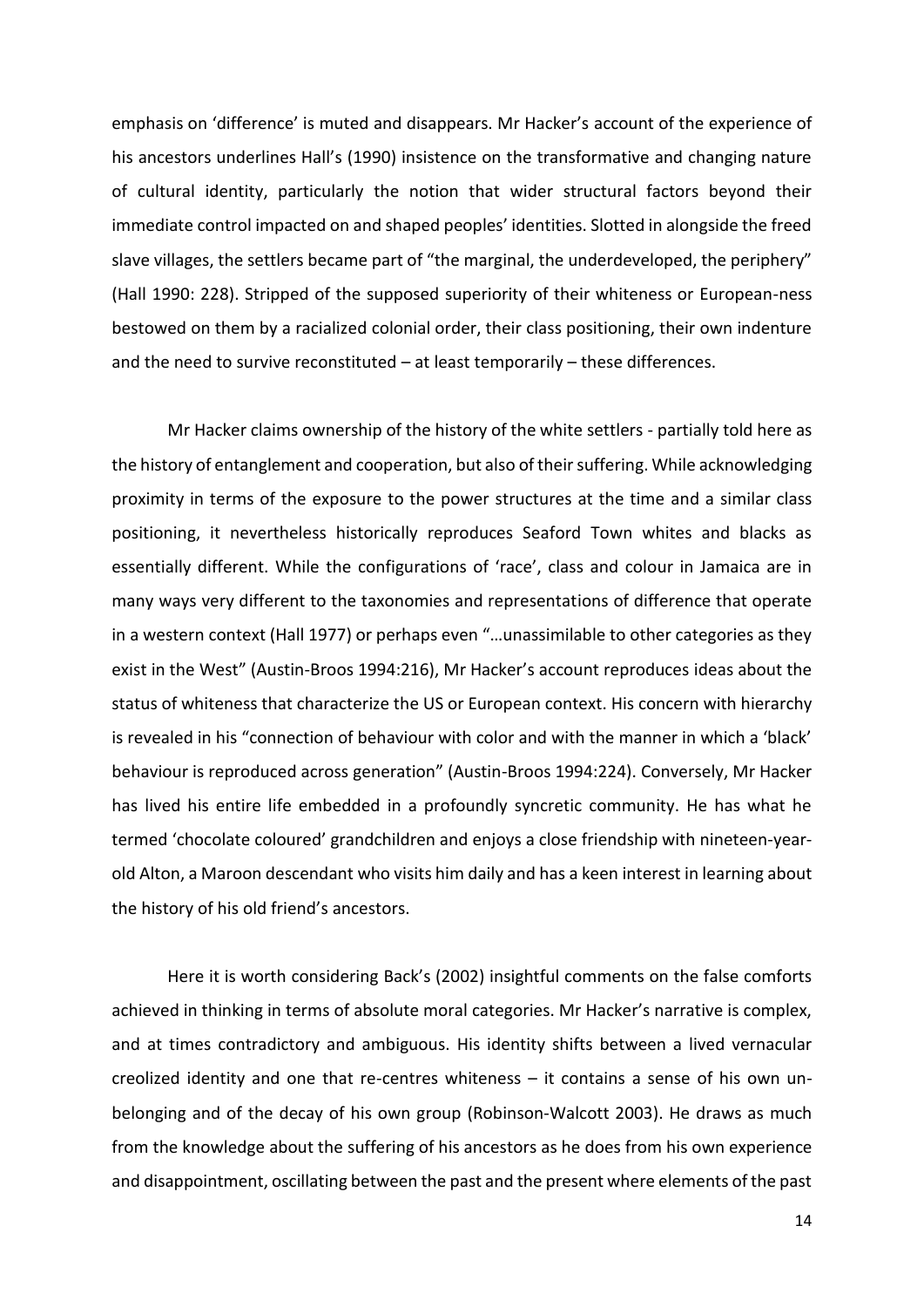emphasis on 'difference' is muted and disappears. Mr Hacker's account of the experience of his ancestors underlines Hall's (1990) insistence on the transformative and changing nature of cultural identity, particularly the notion that wider structural factors beyond their immediate control impacted on and shaped peoples' identities. Slotted in alongside the freed slave villages, the settlers became part of "the marginal, the underdeveloped, the periphery" (Hall 1990: 228). Stripped of the supposed superiority of their whiteness or European-ness bestowed on them by a racialized colonial order, their class positioning, their own indenture and the need to survive reconstituted  $-$  at least temporarily  $-$  these differences.

Mr Hacker claims ownership of the history of the white settlers - partially told here as the history of entanglement and cooperation, but also of their suffering. While acknowledging proximity in terms of the exposure to the power structures at the time and a similar class positioning, it nevertheless historically reproduces Seaford Town whites and blacks as essentially different. While the configurations of 'race', class and colour in Jamaica are in many ways very different to the taxonomies and representations of difference that operate in a western context (Hall 1977) or perhaps even "…unassimilable to other categories as they exist in the West" (Austin-Broos 1994:216), Mr Hacker's account reproduces ideas about the status of whiteness that characterize the US or European context. His concern with hierarchy is revealed in his "connection of behaviour with color and with the manner in which a 'black' behaviour is reproduced across generation" (Austin-Broos 1994:224). Conversely, Mr Hacker has lived his entire life embedded in a profoundly syncretic community. He has what he termed 'chocolate coloured' grandchildren and enjoys a close friendship with nineteen-yearold Alton, a Maroon descendant who visits him daily and has a keen interest in learning about the history of his old friend's ancestors.

Here it is worth considering Back's (2002) insightful comments on the false comforts achieved in thinking in terms of absolute moral categories. Mr Hacker's narrative is complex, and at times contradictory and ambiguous. His identity shifts between a lived vernacular creolized identity and one that re-centres whiteness – it contains a sense of his own unbelonging and of the decay of his own group (Robinson-Walcott 2003). He draws as much from the knowledge about the suffering of his ancestors as he does from his own experience and disappointment, oscillating between the past and the present where elements of the past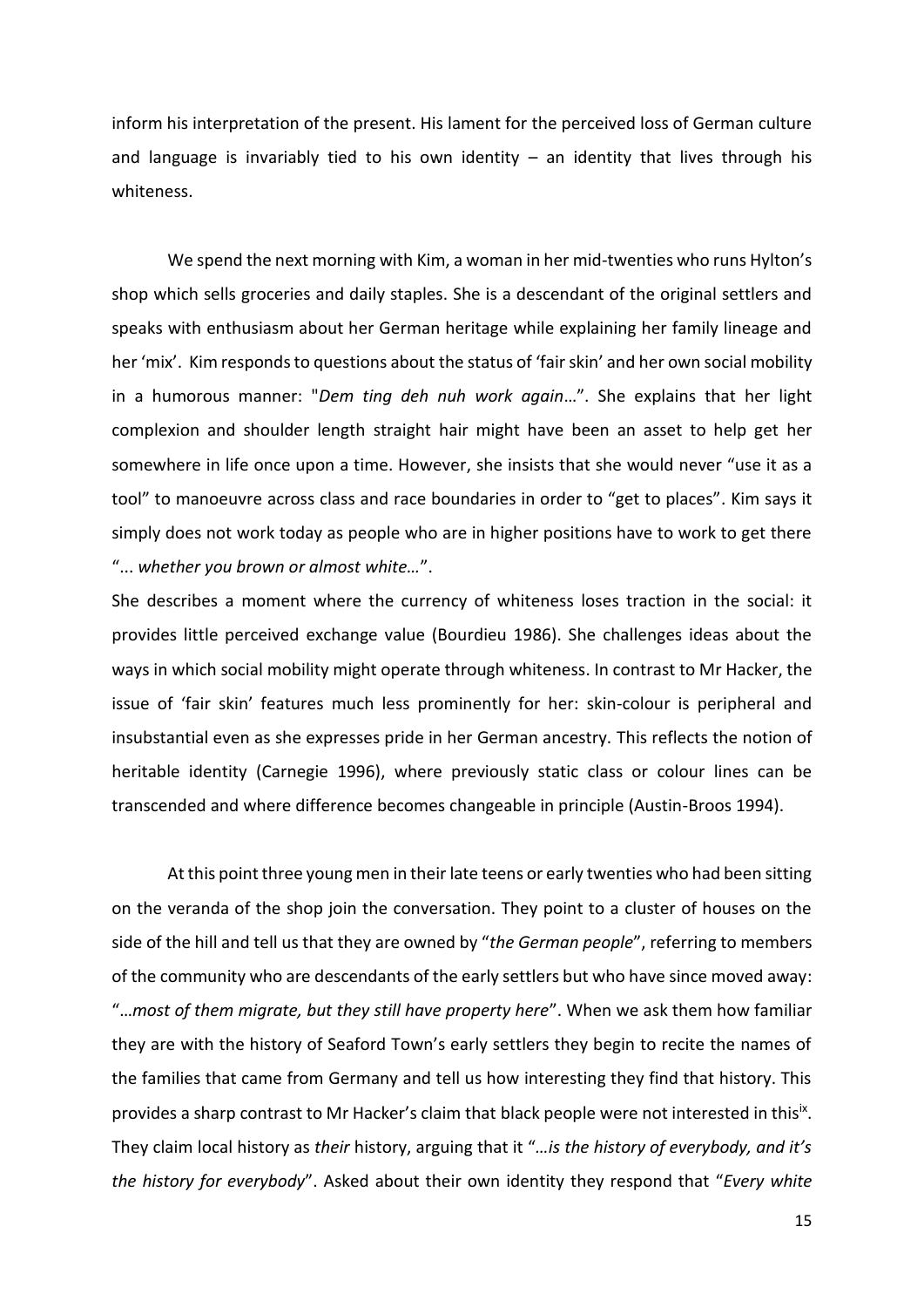inform his interpretation of the present. His lament for the perceived loss of German culture and language is invariably tied to his own identity  $-$  an identity that lives through his whiteness.

We spend the next morning with Kim, a woman in her mid-twenties who runs Hylton's shop which sells groceries and daily staples. She is a descendant of the original settlers and speaks with enthusiasm about her German heritage while explaining her family lineage and her 'mix'. Kim responds to questions about the status of 'fair skin' and her own social mobility in a humorous manner: "*Dem ting deh nuh work again*…". She explains that her light complexion and shoulder length straight hair might have been an asset to help get her somewhere in life once upon a time. However, she insists that she would never "use it as a tool" to manoeuvre across class and race boundaries in order to "get to places". Kim says it simply does not work today as people who are in higher positions have to work to get there "... *whether you brown or almost white…*".

She describes a moment where the currency of whiteness loses traction in the social: it provides little perceived exchange value (Bourdieu 1986). She challenges ideas about the ways in which social mobility might operate through whiteness. In contrast to Mr Hacker, the issue of 'fair skin' features much less prominently for her: skin-colour is peripheral and insubstantial even as she expresses pride in her German ancestry. This reflects the notion of heritable identity (Carnegie 1996), where previously static class or colour lines can be transcended and where difference becomes changeable in principle (Austin-Broos 1994).

At this point three young men in their late teens or early twenties who had been sitting on the veranda of the shop join the conversation. They point to a cluster of houses on the side of the hill and tell us that they are owned by "*the German people*", referring to members of the community who are descendants of the early settlers but who have since moved away: "…*most of them migrate, but they still have property here*". When we ask them how familiar they are with the history of Seaford Town's early settlers they begin to recite the names of the families that came from Germany and tell us how interesting they find that history. This provides a sharp contrast to Mr Hacker's claim that black people were not interested in thisix. They claim local history as *their* history, arguing that it "*…is the history of everybody, and it's the history for everybody*". Asked about their own identity they respond that "*Every white*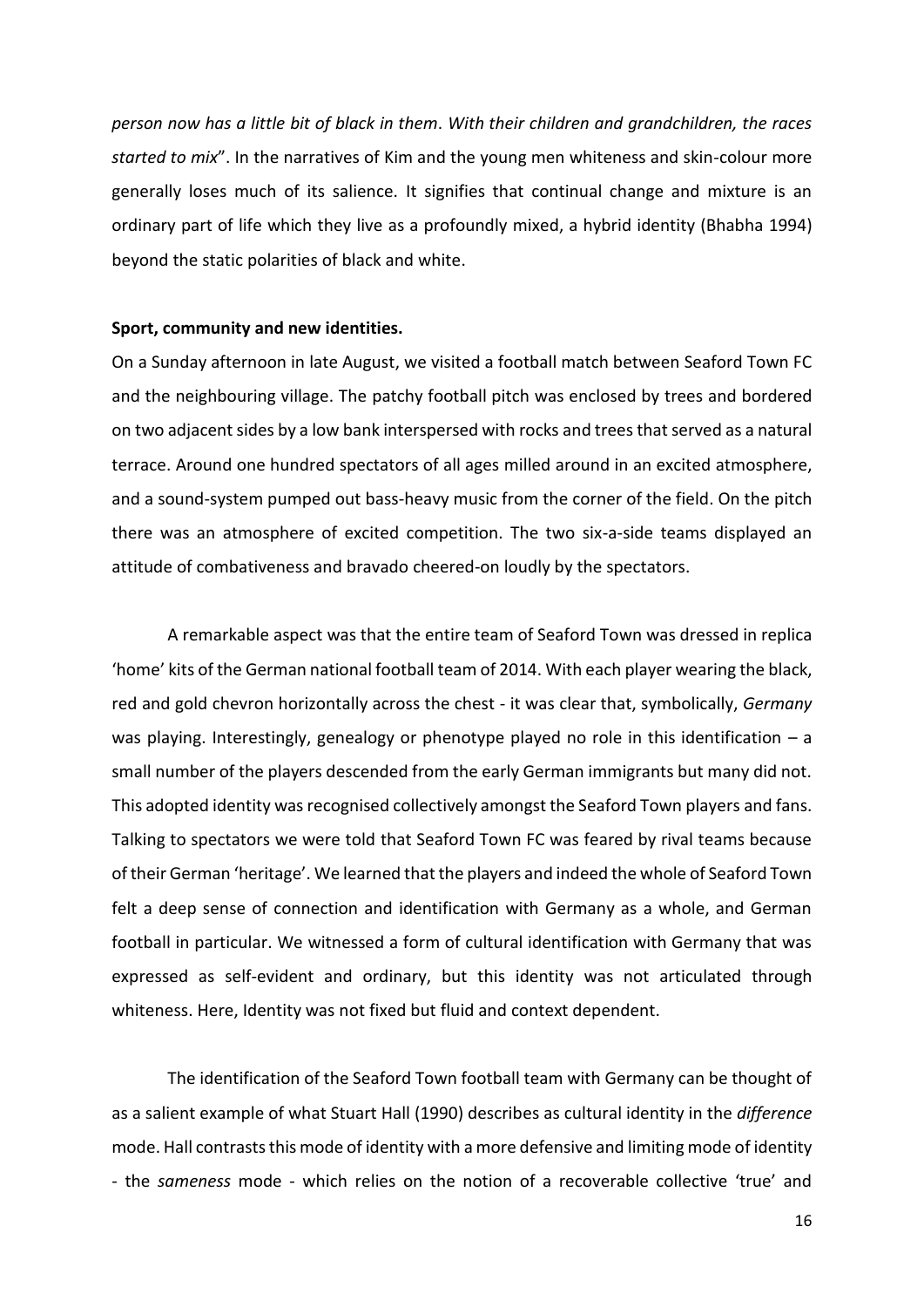*person now has a little bit of black in them*. *With their children and grandchildren, the races started to mix*". In the narratives of Kim and the young men whiteness and skin-colour more generally loses much of its salience. It signifies that continual change and mixture is an ordinary part of life which they live as a profoundly mixed, a hybrid identity (Bhabha 1994) beyond the static polarities of black and white.

#### **Sport, community and new identities.**

On a Sunday afternoon in late August, we visited a football match between Seaford Town FC and the neighbouring village. The patchy football pitch was enclosed by trees and bordered on two adjacent sides by a low bank interspersed with rocks and treesthat served as a natural terrace. Around one hundred spectators of all ages milled around in an excited atmosphere, and a sound-system pumped out bass-heavy music from the corner of the field. On the pitch there was an atmosphere of excited competition. The two six-a-side teams displayed an attitude of combativeness and bravado cheered-on loudly by the spectators.

A remarkable aspect was that the entire team of Seaford Town was dressed in replica 'home' kits of the German national football team of 2014. With each player wearing the black, red and gold chevron horizontally across the chest - it was clear that, symbolically, *Germany* was playing. Interestingly, genealogy or phenotype played no role in this identification  $- a$ small number of the players descended from the early German immigrants but many did not. This adopted identity was recognised collectively amongst the Seaford Town players and fans. Talking to spectators we were told that Seaford Town FC was feared by rival teams because of their German 'heritage'. We learned that the players and indeed the whole of Seaford Town felt a deep sense of connection and identification with Germany as a whole, and German football in particular. We witnessed a form of cultural identification with Germany that was expressed as self-evident and ordinary, but this identity was not articulated through whiteness. Here, Identity was not fixed but fluid and context dependent.

The identification of the Seaford Town football team with Germany can be thought of as a salient example of what Stuart Hall (1990) describes as cultural identity in the *difference* mode. Hall contrasts this mode of identity with a more defensive and limiting mode of identity - the *sameness* mode - which relies on the notion of a recoverable collective 'true' and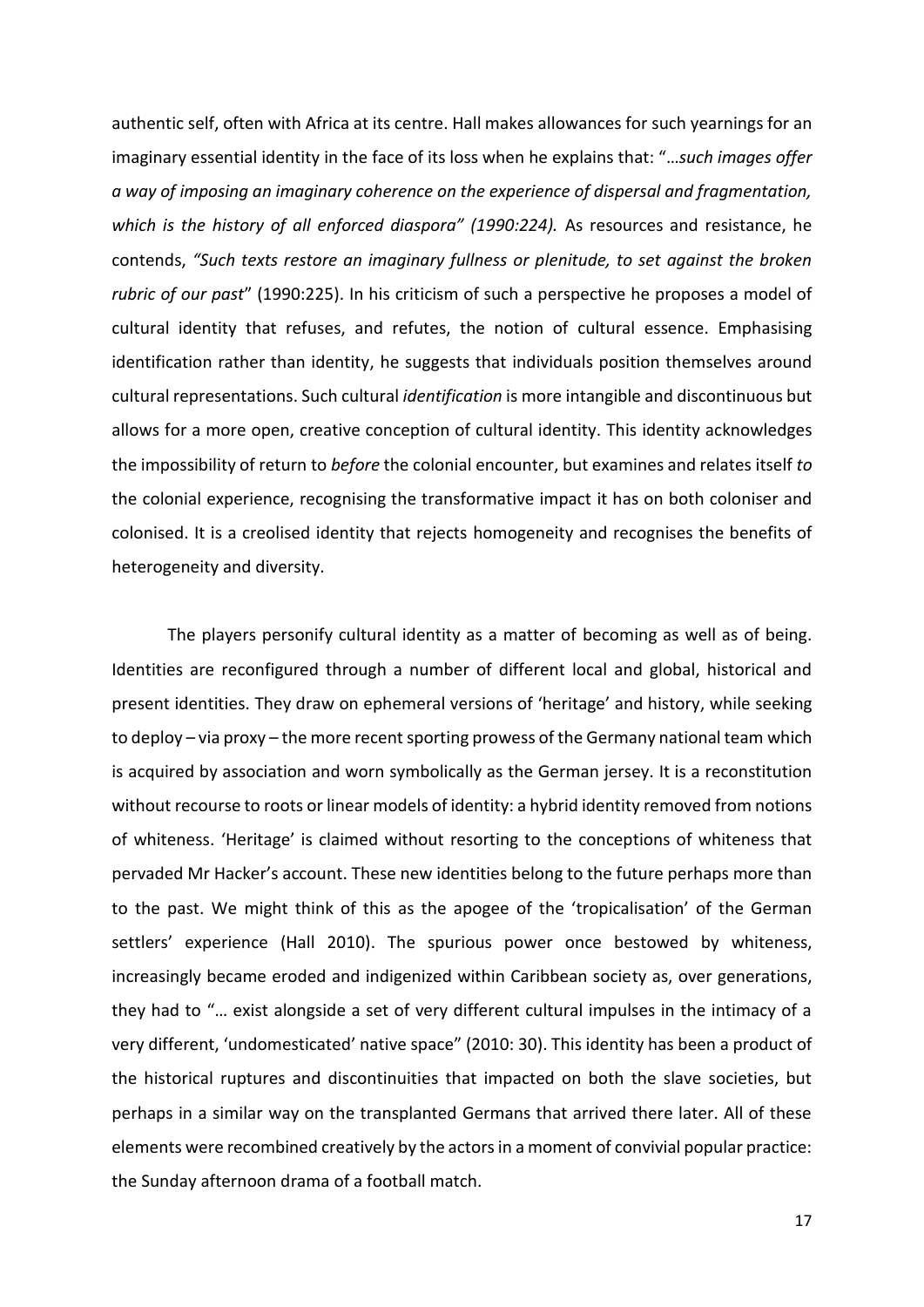authentic self, often with Africa at its centre. Hall makes allowances for such yearnings for an imaginary essential identity in the face of its loss when he explains that: "…*such images offer a way of imposing an imaginary coherence on the experience of dispersal and fragmentation, which is the history of all enforced diaspora" (1990:224).* As resources and resistance, he contends, *"Such texts restore an imaginary fullness or plenitude, to set against the broken rubric of our past*" (1990:225). In his criticism of such a perspective he proposes a model of cultural identity that refuses, and refutes, the notion of cultural essence. Emphasising identification rather than identity, he suggests that individuals position themselves around cultural representations. Such cultural *identification* is more intangible and discontinuous but allows for a more open, creative conception of cultural identity. This identity acknowledges the impossibility of return to *before* the colonial encounter, but examines and relates itself *to* the colonial experience, recognising the transformative impact it has on both coloniser and colonised. It is a creolised identity that rejects homogeneity and recognises the benefits of heterogeneity and diversity.

The players personify cultural identity as a matter of becoming as well as of being. Identities are reconfigured through a number of different local and global, historical and present identities. They draw on ephemeral versions of 'heritage' and history, while seeking to deploy – via proxy – the more recent sporting prowess of the Germany national team which is acquired by association and worn symbolically as the German jersey. It is a reconstitution without recourse to roots or linear models of identity: a hybrid identity removed from notions of whiteness. 'Heritage' is claimed without resorting to the conceptions of whiteness that pervaded Mr Hacker's account. These new identities belong to the future perhaps more than to the past. We might think of this as the apogee of the 'tropicalisation' of the German settlers' experience (Hall 2010). The spurious power once bestowed by whiteness, increasingly became eroded and indigenized within Caribbean society as, over generations, they had to "… exist alongside a set of very different cultural impulses in the intimacy of a very different, 'undomesticated' native space" (2010: 30). This identity has been a product of the historical ruptures and discontinuities that impacted on both the slave societies, but perhaps in a similar way on the transplanted Germans that arrived there later. All of these elements were recombined creatively by the actors in a moment of convivial popular practice: the Sunday afternoon drama of a football match.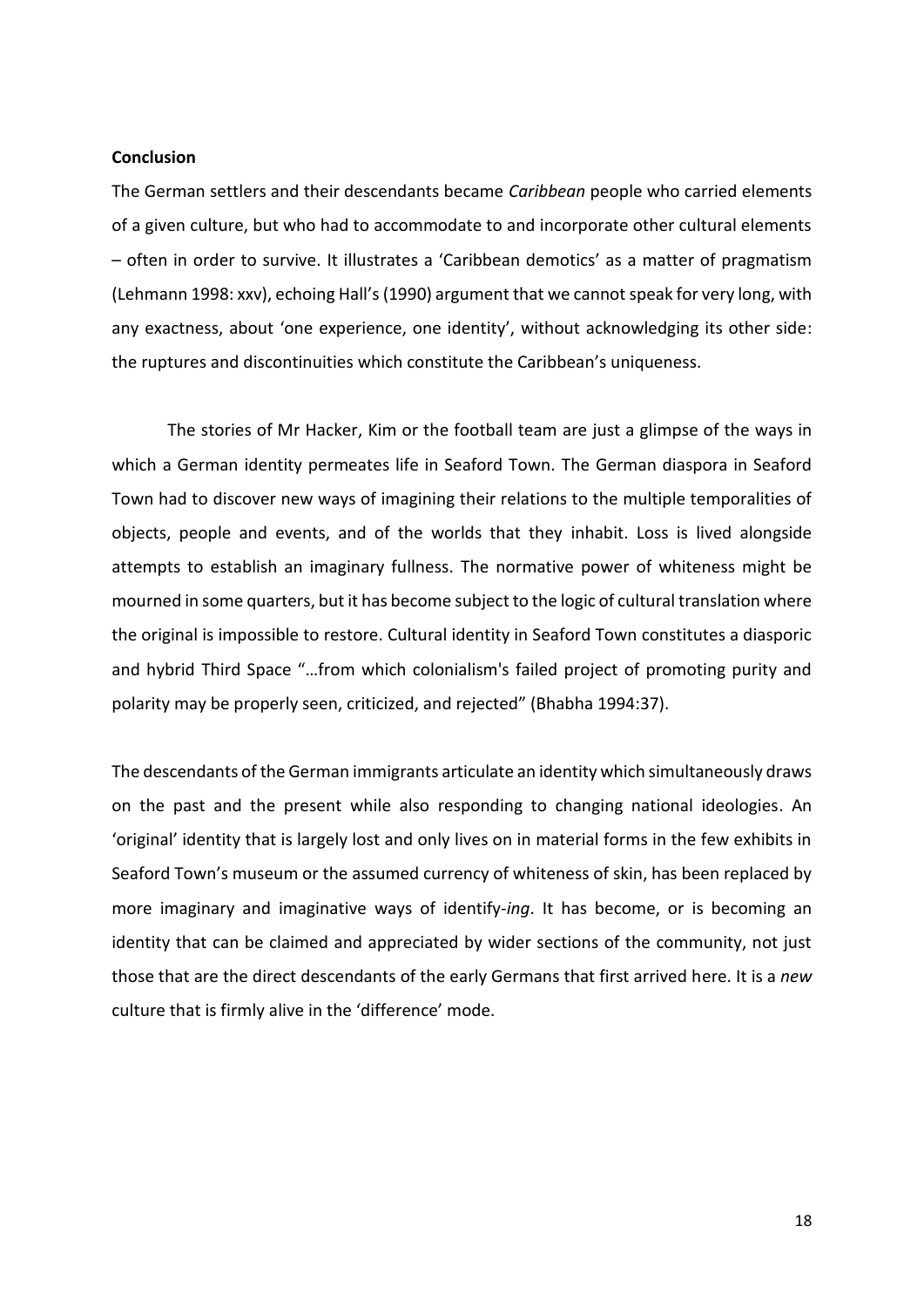## **Conclusion**

The German settlers and their descendants became *Caribbean* people who carried elements of a given culture, but who had to accommodate to and incorporate other cultural elements – often in order to survive. It illustrates a 'Caribbean demotics' as a matter of pragmatism (Lehmann 1998: xxv), echoing Hall's (1990) argument that we cannot speak for very long, with any exactness, about 'one experience, one identity', without acknowledging its other side: the ruptures and discontinuities which constitute the Caribbean's uniqueness.

The stories of Mr Hacker, Kim or the football team are just a glimpse of the ways in which a German identity permeates life in Seaford Town. The German diaspora in Seaford Town had to discover new ways of imagining their relations to the multiple temporalities of objects, people and events, and of the worlds that they inhabit. Loss is lived alongside attempts to establish an imaginary fullness. The normative power of whiteness might be mourned in some quarters, but it has become subject to the logic of cultural translation where the original is impossible to restore. Cultural identity in Seaford Town constitutes a diasporic and hybrid Third Space "…from which colonialism's failed project of promoting purity and polarity may be properly seen, criticized, and rejected" (Bhabha 1994:37).

The descendants of the German immigrants articulate an identity which simultaneously draws on the past and the present while also responding to changing national ideologies. An 'original' identity that is largely lost and only lives on in material forms in the few exhibits in Seaford Town's museum or the assumed currency of whiteness of skin, has been replaced by more imaginary and imaginative ways of identify-*ing*. It has become, or is becoming an identity that can be claimed and appreciated by wider sections of the community, not just those that are the direct descendants of the early Germans that first arrived here. It is a *new*  culture that is firmly alive in the 'difference' mode.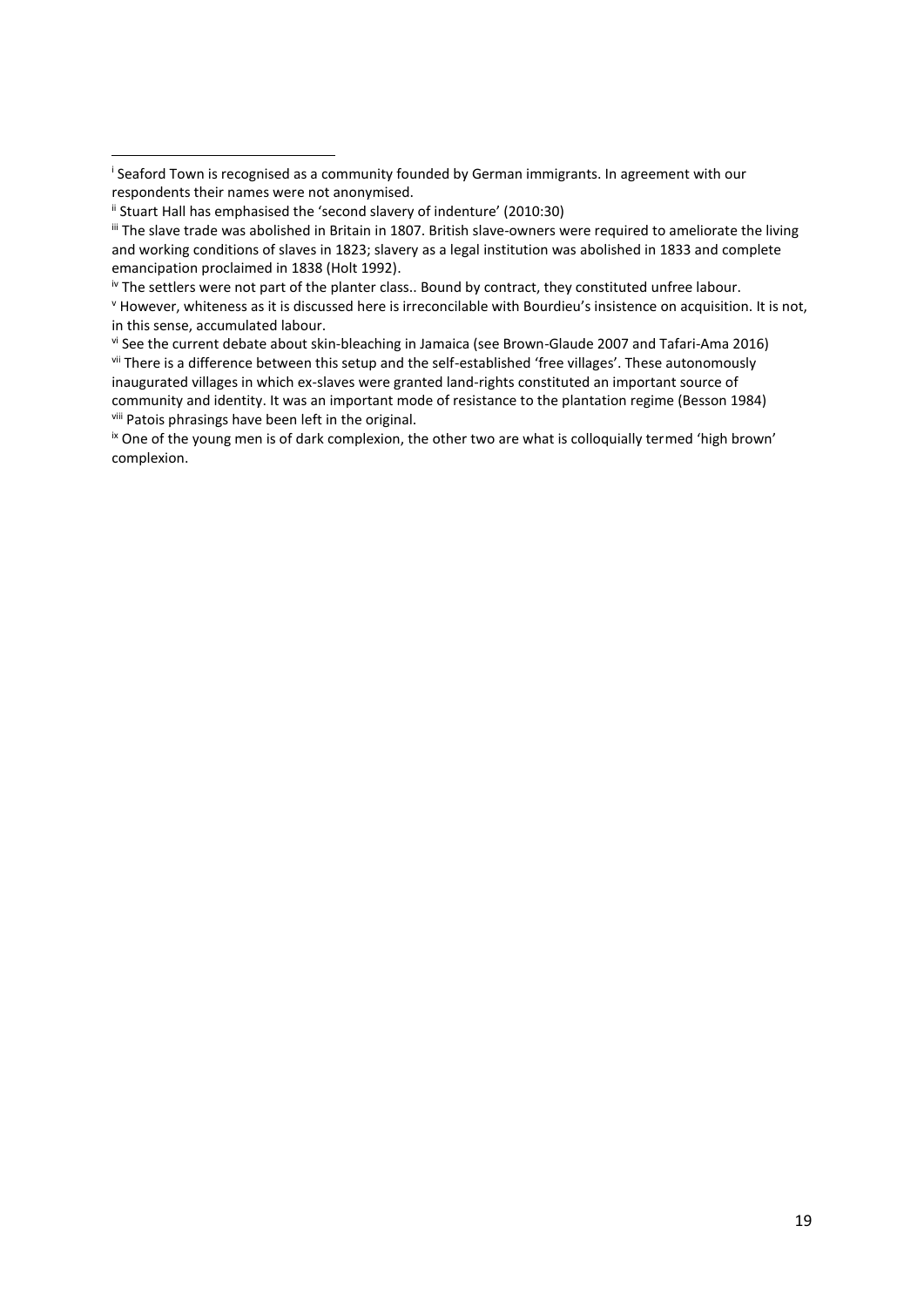**.** 

iv The settlers were not part of the planter class.. Bound by contract, they constituted unfree labour.

vi See the current debate about skin-bleaching in Jamaica (see Brown-Glaude 2007 and Tafari-Ama 2016) vii There is a difference between this setup and the self-established 'free villages'. These autonomously inaugurated villages in which ex-slaves were granted land-rights constituted an important source of community and identity. It was an important mode of resistance to the plantation regime (Besson 1984) viii Patois phrasings have been left in the original.

<sup>ix</sup> One of the young men is of dark complexion, the other two are what is colloquially termed 'high brown' complexion.

i Seaford Town is recognised as a community founded by German immigrants. In agreement with our respondents their names were not anonymised.

ii Stuart Hall has emphasised the 'second slavery of indenture' (2010:30)

 $\mathbb{I}$  The slave trade was abolished in Britain in 1807. British slave-owners were required to ameliorate the living and working conditions of slaves in 1823; slavery as a legal institution was abolished in 1833 and complete emancipation proclaimed in 1838 (Holt 1992).

<sup>v</sup> However, whiteness as it is discussed here is irreconcilable with Bourdieu's insistence on acquisition. It is not, in this sense, accumulated labour.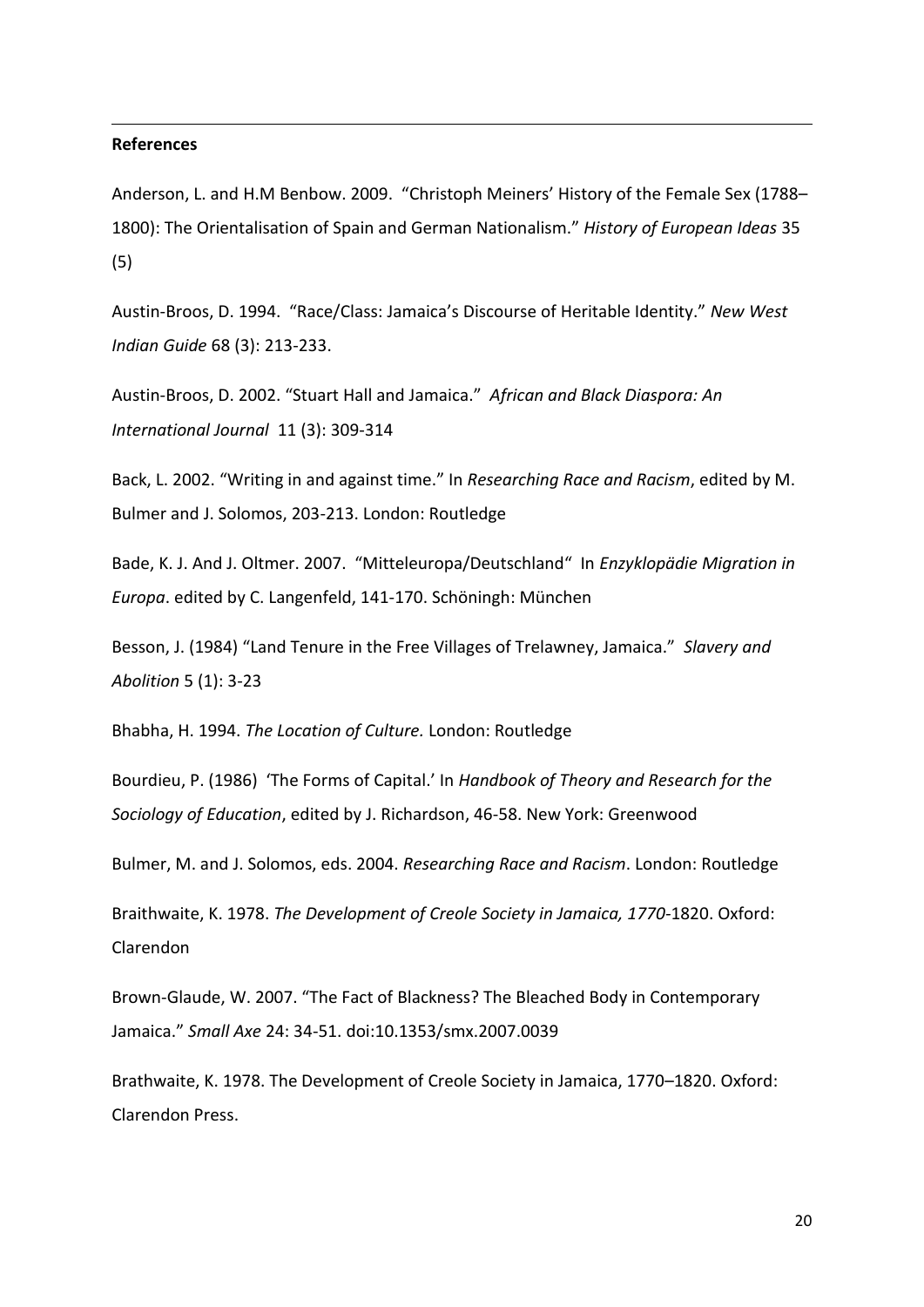## **References**

1

Anderson, L. and H.M Benbow. 2009. "Christoph Meiners' History of the Female Sex (1788– 1800): The Orientalisation of Spain and German Nationalism." *History of European Ideas* 35 (5)

Austin-Broos, D. 1994. "Race/Class: Jamaica's Discourse of Heritable Identity." *New West Indian Guide* 68 (3): 213-233.

Austin-Broos, D. 2002. "Stuart Hall and Jamaica." *African and Black Diaspora: An International Journal* 11 (3): 309-314

Back, L. 2002. "Writing in and against time." In *Researching Race and Racism*, edited by M. Bulmer and J. Solomos, 203-213. London: Routledge

Bade, K. J. And J. Oltmer. 2007. "Mitteleuropa/Deutschland" In *Enzyklopädie Migration in Europa*. edited by C. Langenfeld, 141-170. Schöningh: München

Besson, J. (1984) "Land Tenure in the Free Villages of Trelawney, Jamaica." *Slavery and Abolition* 5 (1): 3-23

Bhabha, H. 1994. *The Location of Culture.* London: Routledge

Bourdieu, P. (1986) 'The Forms of Capital.' In *Handbook of Theory and Research for the Sociology of Education*, edited by J. Richardson, 46-58. New York: Greenwood

Bulmer, M. and J. Solomos, eds. 2004. *Researching Race and Racism*. London: Routledge

Braithwaite, K. 1978. *The Development of Creole Society in Jamaica, 1770-*1820. Oxford: Clarendon

Brown-Glaude, W. 2007. "The Fact of Blackness? The Bleached Body in Contemporary Jamaica." *Small Axe* 24: 34-51. doi:10.1353/smx.2007.0039

Brathwaite, K. 1978. The Development of Creole Society in Jamaica, 1770–1820. Oxford: Clarendon Press.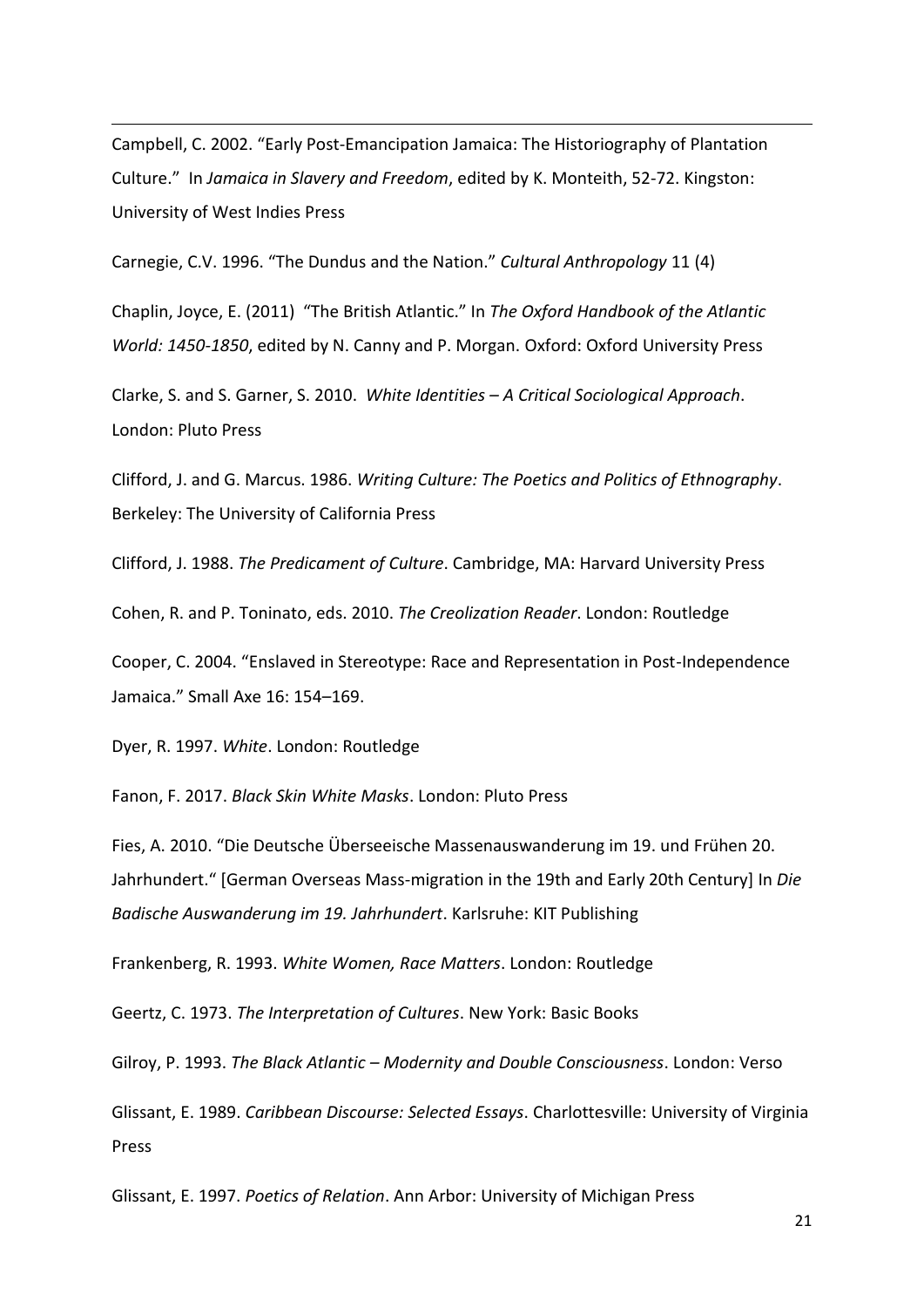Campbell, C. 2002. "Early Post-Emancipation Jamaica: The Historiography of Plantation Culture." In *Jamaica in Slavery and Freedom*, edited by K. Monteith, 52-72. Kingston: University of West Indies Press

Carnegie, C.V. 1996. "The Dundus and the Nation." *Cultural Anthropology* 11 (4)

Chaplin, Joyce, E. (2011) "The British Atlantic." In *The Oxford Handbook of the Atlantic World: 1450-1850*, edited by N. Canny and P. Morgan. Oxford: Oxford University Press

Clarke, S. and S. Garner, S. 2010. *White Identities – A Critical Sociological Approach*. London: Pluto Press

Clifford, J. and G. Marcus. 1986. *Writing Culture: The Poetics and Politics of Ethnography*. Berkeley: The University of California Press

Clifford, J. 1988. *The Predicament of Culture*. Cambridge, MA: Harvard University Press

Cohen, R. and P. Toninato, eds. 2010. *The Creolization Reader*. London: Routledge

Cooper, C. 2004. "Enslaved in Stereotype: Race and Representation in Post-Independence Jamaica." Small Axe 16: 154–169.

Dyer, R. 1997. *White*. London: Routledge

1

Fanon, F. 2017. *Black Skin White Masks*. London: Pluto Press

Fies, A. 2010. "Die Deutsche Überseeische Massenauswanderung im 19. und Frühen 20. Jahrhundert." [German Overseas Mass-migration in the 19th and Early 20th Century] In *Die Badische Auswanderung im 19. Jahrhundert*. Karlsruhe: KIT Publishing

Frankenberg, R. 1993. *White Women, Race Matters*. London: Routledge

Geertz, C. 1973. *The Interpretation of Cultures*. New York: Basic Books

Gilroy, P. 1993. *The Black Atlantic – Modernity and Double Consciousness*. London: Verso

Glissant, E. 1989. *Caribbean Discourse: Selected Essays*. Charlottesville: University of Virginia Press

Glissant, E. 1997. *Poetics of Relation*. Ann Arbor: University of Michigan Press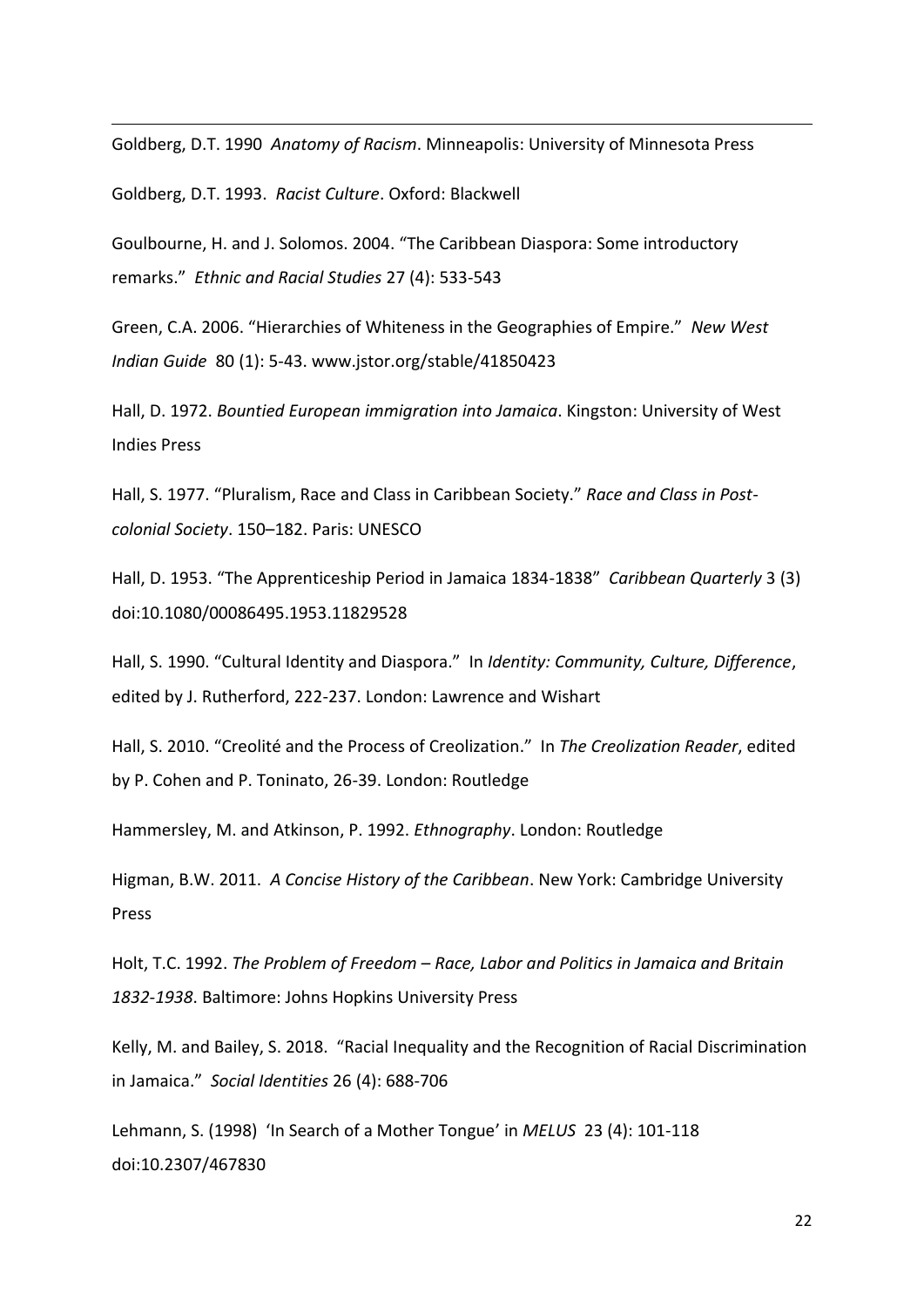Goldberg, D.T. 1990 *Anatomy of Racism*. Minneapolis: University of Minnesota Press

Goldberg, D.T. 1993. *Racist Culture*. Oxford: Blackwell

1

Goulbourne, H. and J. Solomos. 2004. "The Caribbean Diaspora: Some introductory remarks." *Ethnic and Racial Studies* 27 (4): 533-543

Green, C.A. 2006. "Hierarchies of Whiteness in the Geographies of Empire." *New West Indian Guide* 80 (1): 5-43. www.jstor.org/stable/41850423

Hall, D. 1972. *Bountied European immigration into Jamaica*. Kingston: University of West Indies Press

Hall, S. 1977. "Pluralism, Race and Class in Caribbean Society." *Race and Class in Postcolonial Society*. 150–182. Paris: UNESCO

Hall, D. 1953. "The Apprenticeship Period in Jamaica 1834-1838" *Caribbean Quarterly* 3 (3) doi:10.1080/00086495.1953.11829528

Hall, S. 1990. "Cultural Identity and Diaspora." In *Identity: Community, Culture, Difference*, edited by J. Rutherford, 222-237. London: Lawrence and Wishart

Hall, S. 2010. "Creolité and the Process of Creolization." In *The Creolization Reader*, edited by P. Cohen and P. Toninato, 26-39. London: Routledge

Hammersley, M. and Atkinson, P. 1992. *Ethnography*. London: Routledge

Higman, B.W. 2011. *A Concise History of the Caribbean*. New York: Cambridge University Press

Holt, T.C. 1992. *The Problem of Freedom – Race, Labor and Politics in Jamaica and Britain 1832-1938*. Baltimore: Johns Hopkins University Press

Kelly, M. and Bailey, S. 2018. "Racial Inequality and the Recognition of Racial Discrimination in Jamaica." *Social Identities* 26 (4): 688-706

Lehmann, S. (1998) 'In Search of a Mother Tongue' in *MELUS* 23 (4): 101-118 doi:10.2307/467830

22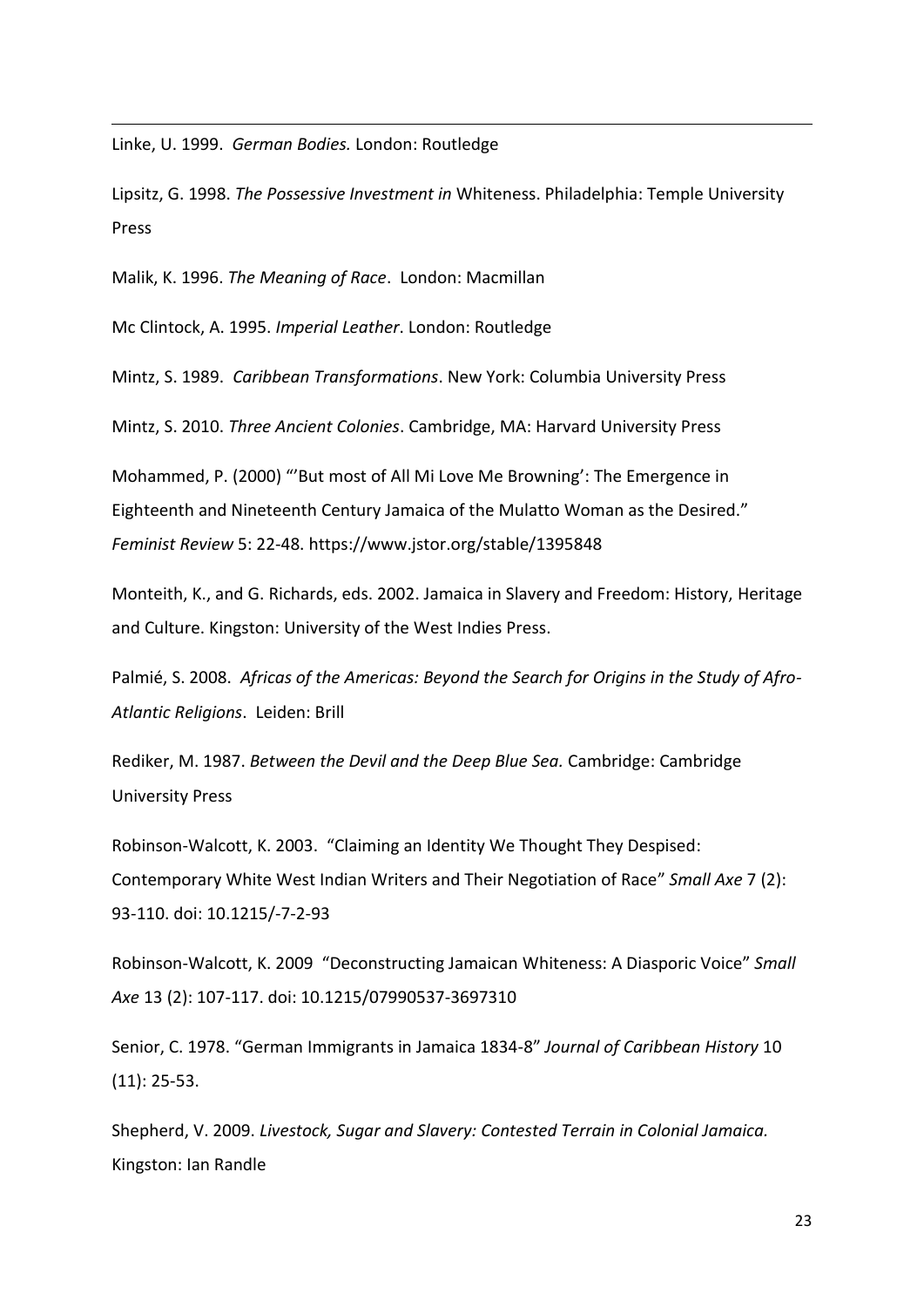Linke, U. 1999. *German Bodies.* London: Routledge

1

Lipsitz, G. 1998. *The Possessive Investment in* Whiteness. Philadelphia: Temple University Press

Malik, K. 1996. *The Meaning of Race*. London: Macmillan

Mc Clintock, A. 1995. *Imperial Leather*. London: Routledge

Mintz, S. 1989. *Caribbean Transformations*. New York: Columbia University Press

Mintz, S. 2010. *Three Ancient Colonies*. Cambridge, MA: Harvard University Press

Mohammed, P. (2000) "'But most of All Mi Love Me Browning': The Emergence in Eighteenth and Nineteenth Century Jamaica of the Mulatto Woman as the Desired." *Feminist Review* 5: 22-48. https://www.jstor.org/stable/1395848

Monteith, K., and G. Richards, eds. 2002. Jamaica in Slavery and Freedom: History, Heritage and Culture. Kingston: University of the West Indies Press.

Palmié, S. 2008. *Africas of the Americas: Beyond the Search for Origins in the Study of Afro-Atlantic Religions*. Leiden: Brill

Rediker, M. 1987. *Between the Devil and the Deep Blue Sea.* Cambridge: Cambridge University Press

Robinson-Walcott, K. 2003. "Claiming an Identity We Thought They Despised: Contemporary White West Indian Writers and Their Negotiation of Race" *Small Axe* 7 (2): 93-110. doi: 10.1215/-7-2-93

Robinson-Walcott, K. 2009 "Deconstructing Jamaican Whiteness: A Diasporic Voice" *Small Axe* 13 (2): 107-117. doi: 10.1215/07990537-3697310

Senior, C. 1978. "German Immigrants in Jamaica 1834-8" *Journal of Caribbean History* 10 (11): 25-53.

Shepherd, V. 2009. *Livestock, Sugar and Slavery: Contested Terrain in Colonial Jamaica.* Kingston: Ian Randle